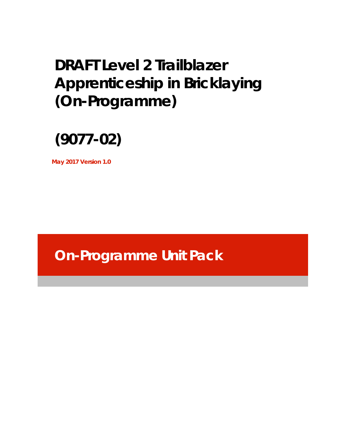# **DRAFT Level 2 Trailblazer Apprenticeship in Bricklaying (On-Programme)**



**May 2017 Version 1.0** 

**On-Programme Unit Pack**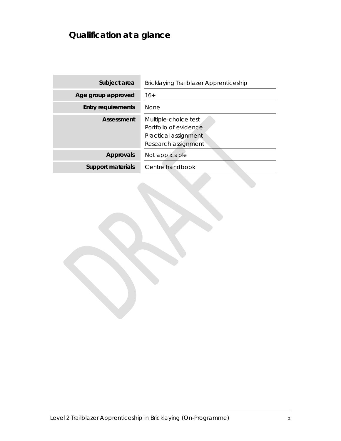## **Qualification at a glance**

| Subject area              | Bricklaying Trailblazer Apprenticeship                                                       |
|---------------------------|----------------------------------------------------------------------------------------------|
| Age group approved        | $16+$                                                                                        |
| <b>Entry requirements</b> | <b>None</b>                                                                                  |
| Assessment                | Multiple-choice test<br>Portfolio of evidence<br>Practical assignment<br>Research assignment |
| <b>Approvals</b>          | Not applicable                                                                               |
| <b>Support materials</b>  | Centre handbook                                                                              |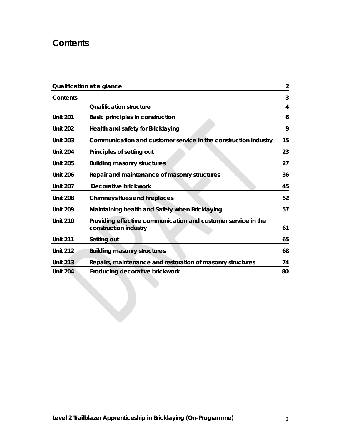## **Contents**

|                 | Qualification at a glance                                                              | 2  |
|-----------------|----------------------------------------------------------------------------------------|----|
| <b>Contents</b> |                                                                                        | 3  |
|                 | <b>Qualification structure</b>                                                         | 4  |
| <b>Unit 201</b> | Basic principles in construction                                                       | 6  |
| <b>Unit 202</b> | Health and safety for Bricklaying                                                      | 9  |
| <b>Unit 203</b> | Communication and customer service in the construction industry                        | 15 |
| <b>Unit 204</b> | Principles of setting out                                                              | 23 |
| <b>Unit 205</b> | <b>Building masonry structures</b>                                                     | 27 |
| <b>Unit 206</b> | Repair and maintenance of masonry structures                                           | 36 |
| <b>Unit 207</b> | Decorative brickwork                                                                   | 45 |
| <b>Unit 208</b> | <b>Chimneys flues and fireplaces</b>                                                   | 52 |
| <b>Unit 209</b> | Maintaining health and Safety when Bricklaying                                         | 57 |
| <b>Unit 210</b> | Providing effective communication and customer service in the<br>construction industry | 61 |
| <b>Unit 211</b> | Setting out                                                                            | 65 |
| <b>Unit 212</b> | <b>Building masonry structures</b>                                                     | 68 |
| <b>Unit 213</b> | Repairs, maintenance and restoration of masonry structures                             | 74 |
| <b>Unit 204</b> | Producing decorative brickwork                                                         | 80 |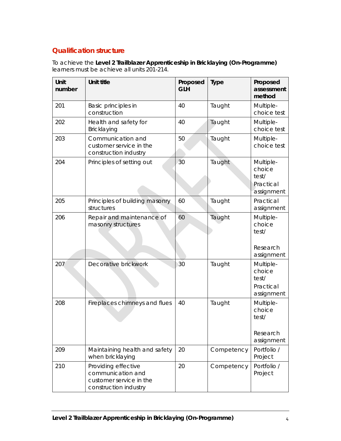## **Qualification structure**

To achieve the **Level 2 Trailblazer Apprenticeship in Bricklaying (On-Programme)**  learners must be achieve all units 201-214.

| Unit<br>number | <b>Unit title</b>                                                                            | Proposed<br><b>GLH</b> | <b>Type</b> | Proposed<br>assessment<br>method                        |
|----------------|----------------------------------------------------------------------------------------------|------------------------|-------------|---------------------------------------------------------|
| 201            | Basic principles in<br>construction                                                          | 40                     | Taught      | Multiple-<br>choice test                                |
| 202            | Health and safety for<br>Bricklaying                                                         | 40                     | Taught      | Multiple-<br>choice test                                |
| 203            | Communication and<br>customer service in the<br>construction industry                        | 50                     | Taught      | Multiple-<br>choice test                                |
| 204            | Principles of setting out                                                                    | 30                     | Taught      | Multiple-<br>choice<br>test/<br>Practical<br>assignment |
| 205            | Principles of building masonry<br>structures                                                 | 60                     | Taught      | Practical<br>assignment                                 |
| 206            | Repair and maintenance of<br>masonry structures                                              | 60                     | Taught      | Multiple-<br>choice<br>test/<br>Research<br>assignment  |
| 207            | Decorative brickwork                                                                         | 30                     | Taught      | Multiple-<br>choice<br>test/<br>Practical<br>assignment |
| 208            | Fireplaces chimneys and flues                                                                | 40                     | Taught      | Multiple-<br>choice<br>test/<br>Research<br>assignment  |
| 209            | Maintaining health and safety<br>when bricklaying                                            | 20                     | Competency  | Portfolio /<br>Project                                  |
| 210            | Providing effective<br>communication and<br>customer service in the<br>construction industry | 20                     | Competency  | Portfolio /<br>Project                                  |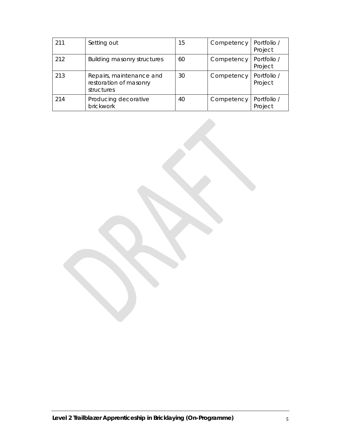| 211 | Setting out                                                      | 15 | Competency | Portfolio /<br>Project |
|-----|------------------------------------------------------------------|----|------------|------------------------|
| 212 | <b>Building masonry structures</b>                               | 60 | Competency | Portfolio /<br>Project |
| 213 | Repairs, maintenance and<br>restoration of masonry<br>structures | 30 | Competency | Portfolio /<br>Project |
| 214 | Producing decorative<br>brickwork                                | 40 | Competency | Portfolio /<br>Project |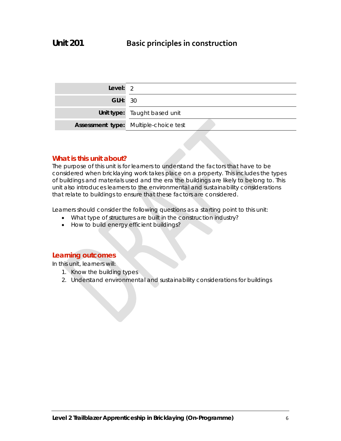| Level: $2$     |                                              |
|----------------|----------------------------------------------|
| <b>GLH: 30</b> |                                              |
|                | Unit type: Taught based unit                 |
|                | <b>Assessment type:</b> Multiple-choice test |

## **What is this unit about?**

The purpose of this unit is for learners to understand the factors that have to be considered when bricklaying work takes place on a property. This includes the types of buildings and materials used and the era the buildings are likely to belong to. This unit also introduces learners to the environmental and sustainability considerations that relate to buildings to ensure that these factors are considered.

Learners should consider the following questions as a starting point to this unit:

- What type of structures are built in the construction industry?
- How to build energy efficient buildings?

## **Learning outcomes**

In this unit, learners will:

- 1. Know the building types
- 2. Understand environmental and sustainability considerations for buildings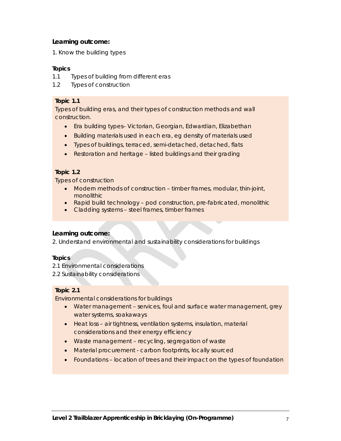1. Know the building types

## **Topics**

- 1.1 Types of building from different eras
- 1.2 Types of construction

## **Topic 1.1**

Types of building eras, and their types of construction methods and wall construction.

- Era building types– Victorian, Georgian, Edwardian, Elizabethan
- Building materials used in each era, eg density of materials used
- Types of buildings, terraced, semi-detached, detached, flats
- Restoration and heritage listed buildings and their grading

## **Topic 1.2**

Types of construction

- Modern methods of construction timber frames, modular, thin-joint, monolithic
- Rapid build technology pod construction, pre-fabricated, monolithic
- Cladding systems steel frames, timber frames

## **Learning outcome:**

2. Understand environmental and sustainability considerations for buildings

## **Topics**

2.1 Environmental considerations

2.2 Sustainability considerations

## **Topic 2.1**

Environmental considerations for buildings

- Water management services, foul and surface water management, grey water systems, soakaways
- Heat loss air tightness, ventilation systems, insulation, material considerations and their energy efficiency
- Waste management recycling, segregation of waste
- Material procurement carbon footprints, locally sourced
- Foundations location of trees and their impact on the types of foundation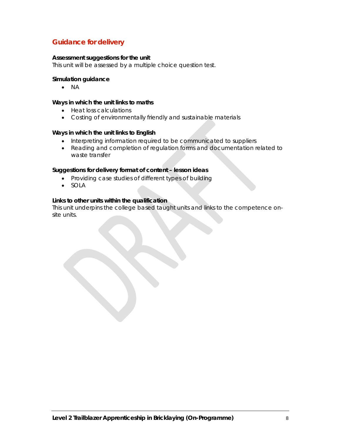## **Guidance for delivery**

#### **Assessment suggestions for the unit**

This unit will be assessed by a multiple choice question test.

#### **Simulation guidance**

 $\bullet$  NA

#### **Ways in which the unit links to maths**

- Heat loss calculations
- Costing of environmentally friendly and sustainable materials

#### **Ways in which the unit links to English**

- Interpreting information required to be communicated to suppliers
- Reading and completion of regulation forms and documentation related to waste transfer

#### **Suggestions for delivery format of content – lesson ideas**

- Providing case studies of different types of building
- SOLA

#### **Links to other units within the qualification**

This unit underpins the college based taught units and links to the competence onsite units.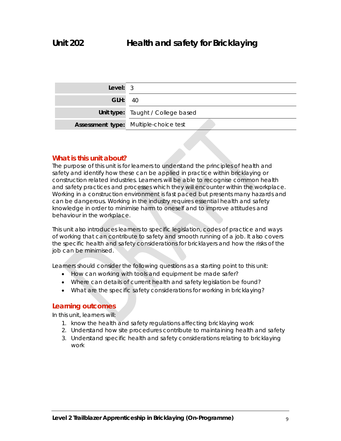| Level: $3$     |                                       |
|----------------|---------------------------------------|
| <b>GLH: 40</b> |                                       |
|                | Unit type: Taught / College based     |
|                | Assessment type: Multiple-choice test |

## **What is this unit about?**

The purpose of this unit is for learners to understand the principles of health and safety and identify how these can be applied in practice within bricklaying or construction related industries. Learners will be able to recognise common health and safety practices and processes which they will encounter within the workplace. Working in a construction environment is fast paced but presents many hazards and can be dangerous. Working in the industry requires essential health and safety knowledge in order to minimise harm to oneself and to improve attitudes and behaviour in the workplace.

This unit also introduces learners to specific legislation, codes of practice and ways of working that can contribute to safety and smooth running of a job. It also covers the specific health and safety considerations for bricklayers and how the risks of the job can be minimised.

Learners should consider the following questions as a starting point to this unit:

- How can working with tools and equipment be made safer?
- Where can details of current health and safety legislation be found?
- What are the specific safety considerations for working in bricklaying?

## **Learning outcomes**

In this unit, learners will:

- 1. know the health and safety regulations affecting bricklaying work
- 2. Understand how site procedures contribute to maintaining health and safety
- 3. Understand specific health and safety considerations relating to bricklaying work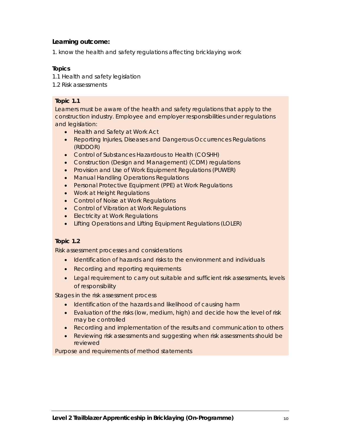1. know the health and safety regulations affecting bricklaying work

#### **Topics**

- 1.1 Health and safety legislation
- 1.2 Risk assessments

## **Topic 1.1**

Learners must be aware of the health and safety regulations that apply to the construction industry. Employee and employer responsibilities under regulations and legislation:

- Health and Safety at Work Act
- Reporting Injuries, Diseases and Dangerous Occurrences Regulations (RIDDOR)
- Control of Substances Hazardous to Health (COSHH)
- Construction (Design and Management) (CDM) regulations
- Provision and Use of Work Equipment Requiations (PUWER)
- **Manual Handling Operations Regulations**
- Personal Protective Equipment (PPE) at Work Regulations
- Work at Height Regulations
- Control of Noise at Work Regulations
- **Control of Vibration at Work Regulations**
- Electricity at Work Regulations
- Lifting Operations and Lifting Equipment Regulations (LOLER)

## **Topic 1.2**

Risk assessment processes and considerations

- Identification of hazards and risks to the environment and individuals
- Recording and reporting requirements
- Legal requirement to carry out suitable and sufficient risk assessments, levels of responsibility

Stages in the risk assessment process

- Identification of the hazards and likelihood of causing harm
- Evaluation of the risks (low, medium, high) and decide how the level of risk may be controlled
- Recording and implementation of the results and communication to others
- Reviewing risk assessments and suggesting when risk assessments should be reviewed

Purpose and requirements of method statements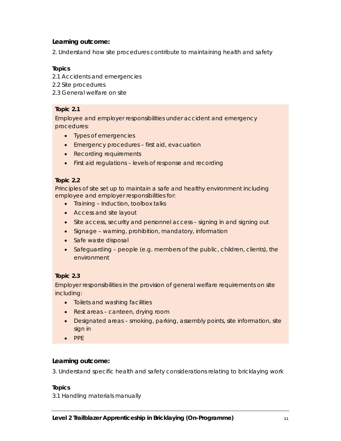2. Understand how site procedures contribute to maintaining health and safety

#### **Topics**

- 2.1 Accidents and emergencies
- 2.2 Site procedures
- 2.3 General welfare on site

## **Topic 2.1**

Employee and employer responsibilities under accident and emergency procedures:

- Types of emergencies
- Emergency procedures first aid, evacuation
- Recording requirements
- First aid regulations levels of response and recording

#### **Topic 2.2**

Principles of site set up to maintain a safe and healthy environment including employee and employer responsibilities for:

- Training Induction, toolbox talks
- Access and site layout
- Site access, security and personnel access signing in and signing out
- Signage warning, prohibition, mandatory, information
- Safe waste disposal
- Safeguarding people (e.g. members of the public, children, clients), the environment

## **Topic 2.3**

Employer responsibilities in the provision of general welfare requirements on site including:

- Toilets and washing facilities
- Rest areas canteen, drying room
- Designated areas smoking, parking, assembly points, site information, site sign in
- $\bullet$  PPE

## **Learning outcome:**

3. Understand specific health and safety considerations relating to bricklaying work

#### **Topics**

3.1 Handling materials manually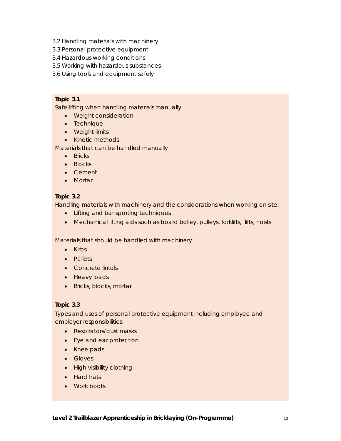- 3.2 Handling materials with machinery
- 3.3 Personal protective equipment
- 3.4 Hazardous working conditions
- 3.5 Working with hazardous substances
- 3.6 Using tools and equipment safely

#### **Topic 3.1**

Safe lifting when handling materials manually

- Weight consideration
- Technique
- Weight limits
- Kinetic methods

Materials that can be handled manually

- Bricks
- Blocks
- Cement
- Mortar

#### **Topic 3.2**

Handling materials with machinery and the considerations when working on site:

- Lifting and transporting techniques
- Mechanical lifting aids such as board trolley, pulleys, forklifts, lifts, hoists

Materials that should be handled with machinery

- Kirbs
- Pallets
- Concrete lintols
- Heavy loads
- Bricks, blocks, mortar

#### **Topic 3.3**

Types and uses of personal protective equipment including employee and employer responsibilities:

- Respirators/dust masks
- Eye and ear protection
- Knee pads
- **•** Gloves
- High visibility clothing
- Hard hats
- Work boots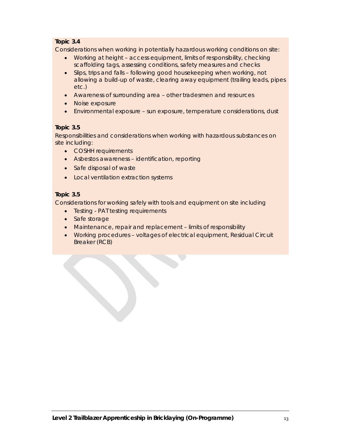## **Topic 3.4**

Considerations when working in potentially hazardous working conditions on site:

- Working at height access equipment, limits of responsibility, checking scaffolding tags, assessing conditions, safety measures and checks
- Slips, trips and falls following good housekeeping when working, not allowing a build-up of waste, clearing away equipment (trailing leads, pipes etc.)
- Awareness of surrounding area other tradesmen and resources
- Noise exposure
- Environmental exposure sun exposure, temperature considerations, dust

## **Topic 3.5**

Responsibilities and considerations when working with hazardous substances on site including:

- COSHH requirements
- Asbestos awareness identification, reporting
- Safe disposal of waste
- Local ventilation extraction systems

## **Topic 3.5**

Considerations for working safely with tools and equipment on site including

- Testing PAT testing requirements
- Safe storage
- Maintenance, repair and replacement limits of responsibility
- Working procedures voltages of electrical equipment, Residual Circuit Breaker (RCB)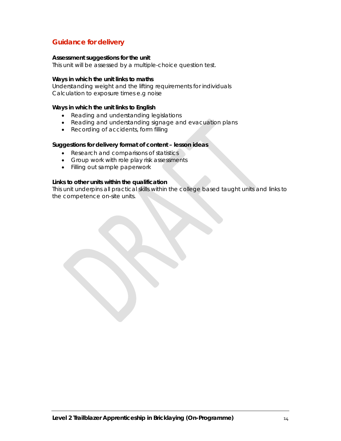## **Guidance for delivery**

#### **Assessment suggestions for the unit**

This unit will be assessed by a multiple-choice question test.

#### **Ways in which the unit links to maths**

Understanding weight and the lifting requirements for individuals Calculation to exposure times e.g noise

#### **Ways in which the unit links to English**

- Reading and understanding legislations
- Reading and understanding signage and evacuation plans
- Recording of accidents, form filling

#### **Suggestions for delivery format of content – lesson ideas**

- Research and comparisons of statistics
- Group work with role play risk assessments
- Filling out sample paperwork

#### **Links to other units within the qualification**

This unit underpins all practical skills within the college based taught units and links to the competence on-site units.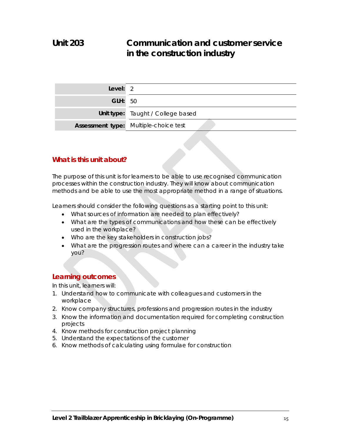## **Unit 203 Communication and customer service in the construction industry**

| Level: $2$     |                                              |
|----------------|----------------------------------------------|
| <b>GLH: 50</b> |                                              |
|                | Unit type: Taught / College based            |
|                | <b>Assessment type:</b> Multiple-choice test |

## **What is this unit about?**

The purpose of this unit is for learners to be able to use recognised communication processes within the construction industry. They will know about communication methods and be able to use the most appropriate method in a range of situations.

Learners should consider the following questions as a starting point to this unit:

- What sources of information are needed to plan effectively?
- What are the types of communications and how these can be effectively used in the workplace?
- Who are the key stakeholders in construction jobs?
- What are the progression routes and where can a career in the industry take you?

## **Learning outcomes**

In this unit, learners will:

- 1. Understand how to communicate with colleagues and customers in the workplace
- 2. Know company structures, professions and progression routes in the industry
- 3. Know the information and documentation required for completing construction projects
- 4. Know methods for construction project planning
- 5. Understand the expectations of the customer
- 6. Know methods of calculating using formulae for construction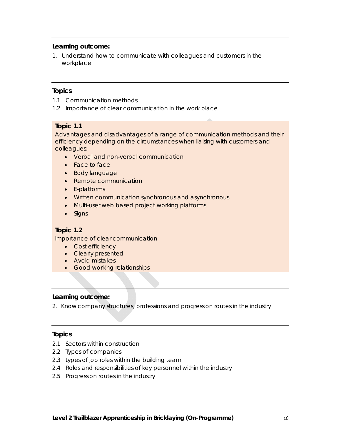1. Understand how to communicate with colleagues and customers in the workplace

#### **Topics**

- 1.1 Communication methods
- 1.2 Importance of clear communication in the work place

#### **Topic 1.1**

Advantages and disadvantages of a range of communication methods and their efficiency depending on the circumstances when liaising with customers and colleagues:

- Verbal and non-verbal communication
- Face to face
- Body language
- Remote communication
- E-platforms
- Written communication synchronous and asynchronous
- Multi-user web based project working platforms
- Signs

## **Topic 1.2**

Importance of clear communication

- Cost efficiency
- Clearly presented
- Avoid mistakes
- **•** Good working relationships

#### **Learning outcome:**

2. Know company structures, professions and progression routes in the industry

## **Topics**

- 2.1 Sectors within construction
- 2.2 Types of companies
- 2.3 types of job roles within the building team
- 2.4 Roles and responsibilities of key personnel within the industry
- 2.5 Progression routes in the industry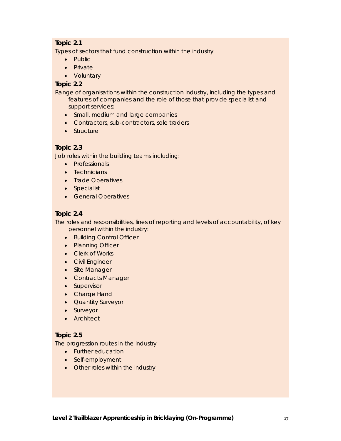## **Topic 2.1**

Types of sectors that fund construction within the industry

- Public
- Private
- Voluntary

## **Topic 2.2**

Range of organisations within the construction industry, including the types and features of companies and the role of those that provide specialist and support services:

- Small, medium and large companies
- Contractors, sub-contractors, sole traders
- Structure

## **Topic 2.3**

Job roles within the building teams including:

- Professionals
- Technicians
- Trade Operatives
- Specialist
- **•** General Operatives

## **Topic 2.4**

The roles and responsibilities, lines of reporting and levels of accountability, of key personnel within the industry:

- Building Control Officer
- Planning Officer
- Clerk of Works
- Civil Engineer
- Site Manager
- Contracts Manager
- Supervisor
- Charge Hand
- Quantity Surveyor
- Surveyor
- **•** Architect

## **Topic 2.5**

The progression routes in the industry

- Further education
- Self-employment
- Other roles within the industry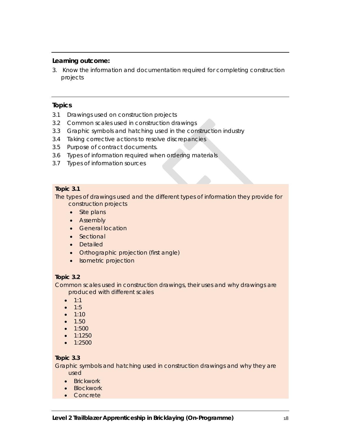3. Know the information and documentation required for completing construction projects

#### **Topics**

- 3.1 Drawings used on construction projects
- 3.2 Common scales used in construction drawings
- 3.3 Graphic symbols and hatching used in the construction industry
- 3.4 Taking corrective actions to resolve discrepancies
- 3.5 Purpose of contract documents.
- 3.6 Types of information required when ordering materials
- 3.7 Types of information sources

#### **Topic 3.1**

The types of drawings used and the different types of information they provide for construction projects

- Site plans
- Assembly
- General location
- Sectional
- Detailed
- Orthographic projection (first angle)
- Isometric projection

## **Topic 3.2**

Common scales used in construction drawings, their uses and why drawings are produced with different scales

- $1:1$
- $1:5$
- $\bullet$  1:10
- $1.50$
- $1:500$
- $\bullet$  1:1250
- 1:2500

## **Topic 3.3**

Graphic symbols and hatching used in construction drawings and why they are used

- Brickwork
- Blockwork
- Concrete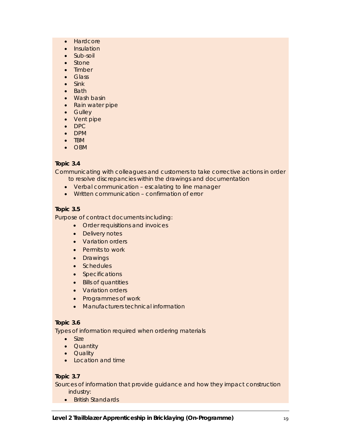- Hardcore
- Insulation
- Sub-soil
- Stone
- Timber
- Glass
- $\bullet$  Sink
- Bath
- Wash basin
- Rain water pipe
- Gulley
- Vent pipe
- DPC
- DPM • TBM
- OBM

## **Topic 3.4**

Communicating with colleagues and customers to take corrective actions in order to resolve discrepancies within the drawings and documentation

- Verbal communication escalating to line manager
- Written communication confirmation of error

## **Topic 3.5**

Purpose of contract documents including:

- Order requisitions and invoices
- Delivery notes
- Variation orders
- Permits to work
- Drawings
- Schedules
- Specifications
- Bills of quantities
- Variation orders
- Programmes of work
- Manufacturers technical information

## **Topic 3.6**

Types of information required when ordering materials

- Size
- Quantity
- Quality
- Location and time

## **Topic 3.7**

Sources of information that provide guidance and how they impact construction industry:

• British Standards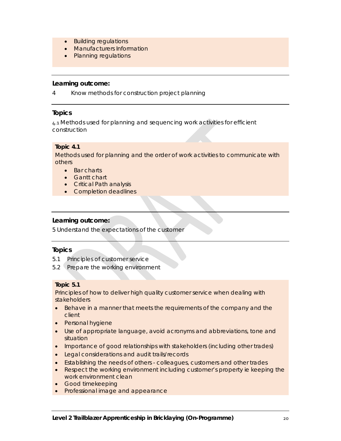- Building regulations
- Manufacturers Information
- Planning regulations

4 Know methods for construction project planning

#### **Topics**

4.1 Methods used for planning and sequencing work activities for efficient construction

## **Topic 4.1**

Methods used for planning and the order of work activities to communicate with others

- Bar charts
- Gantt chart
- Critical Path analysis
- Completion deadlines

## **Learning outcome:**

5 Understand the expectations of the customer

#### **Topics**

- 5.1 Principles of customer service
- 5.2 Prepare the working environment

#### **Topic 5.1**

Principles of how to deliver high quality customer service when dealing with stakeholders

- **Behave in a manner that meets the requirements of the company and the** client
- Personal hygiene
- Use of appropriate language, avoid acronyms and abbreviations, tone and situation
- Importance of good relationships with stakeholders (including other trades)
- Legal considerations and audit trails/records
- Establishing the needs of others colleagues, customers and other trades
- Respect the working environment including customer's property ie keeping the work environment clean
- **Good timekeeping**
- Professional image and appearance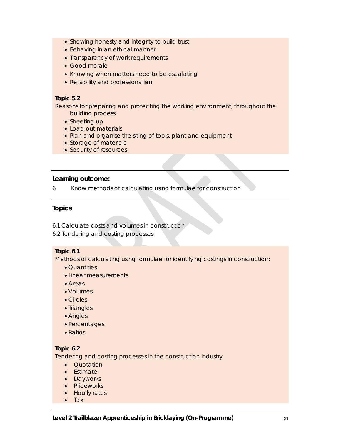- Showing honesty and integrity to build trust
- Behaving in an ethical manner
- Transparency of work requirements
- Good morale
- Knowing when matters need to be escalating
- Reliability and professionalism

#### **Topic 5.2**

Reasons for preparing and protecting the working environment, throughout the building process:

- Sheeting up
- Load out materials
- Plan and organise the siting of tools, plant and equipment
- Storage of materials
- Security of resources

#### **Learning outcome:**

6 Know methods of calculating using formulae for construction

## **Topics**

- 6.1 Calculate costs and volumes in construction
- 6.2 Tendering and costing processes

## **Topic 6.1**

Methods of calculating using formulae for identifying costings in construction:

- Quantities
- Linear measurements
- Areas
- Volumes
- Circles
- Triangles
- Angles
- Percentages
- Ratios

## **Topic 6.2**

Tendering and costing processes in the construction industry

- Quotation
- Estimate
- Dayworks
- Priceworks
- Hourly rates
- $\bullet$  Tax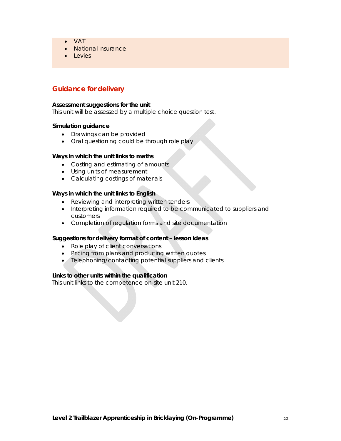- VAT
- National insurance
- **Levies**

## **Guidance for delivery**

#### **Assessment suggestions for the unit**

This unit will be assessed by a multiple choice question test.

#### **Simulation guidance**

- Drawings can be provided
- Oral questioning could be through role play

#### **Ways in which the unit links to maths**

- Costing and estimating of amounts
- Using units of measurement
- Calculating costings of materials

#### **Ways in which the unit links to English**

- Reviewing and interpreting written tenders
- Interpreting information required to be communicated to suppliers and customers
- Completion of regulation forms and site documentation

#### **Suggestions for delivery format of content – lesson ideas**

- Role play of client conversations
- Pricing from plans and producing written quotes
- Telephoning/contacting potential suppliers and clients

#### **Links to other units within the qualification**

This unit links to the competence on-site unit 210.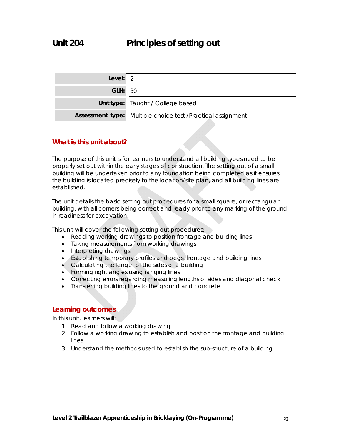| Level: 2       |                                                             |
|----------------|-------------------------------------------------------------|
| <b>GLH: 30</b> |                                                             |
|                | Unit type: Taught / College based                           |
|                | Assessment type: Multiple choice test /Practical assignment |

## **What is this unit about?**

The purpose of this unit is for learners to understand all building types need to be properly set out within the early stages of construction. The setting out of a small building will be undertaken prior to any foundation being completed as it ensures the building is located precisely to the location/site plan, and all building lines are established.

The unit details the basic setting out procedures for a small square, or rectangular building, with all corners being correct and ready prior to any marking of the ground in readiness for excavation.

This unit will cover the following setting out procedures;

- Reading working drawings to position frontage and building lines
- Taking measurements from working drawings
- Interpreting drawings
- Establishing temporary profiles and pegs, frontage and building lines
- Calculating the length of the sides of a building
- Forming right angles using ranging lines
- Correcting errors regarding measuring lengths of sides and diagonal check
- Transferring building lines to the ground and concrete

## **Learning outcomes**

In this unit, learners will:

- 1 Read and follow a working drawing
- 2 Follow a working drawing to establish and position the frontage and building lines
- 3 Understand the methods used to establish the sub-structure of a building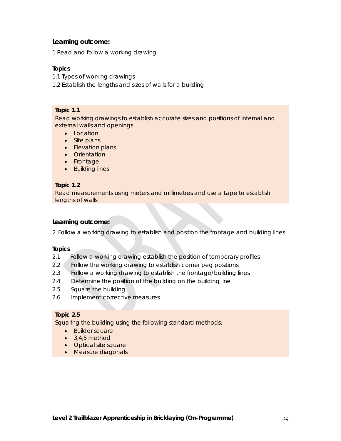1 Read and follow a working drawing

#### **Topics**

1.1 Types of working drawings

1.2 Establish the lengths and sizes of walls for a building

#### **Topic 1.1**

Read working drawings to establish accurate sizes and positions of internal and external walls and openings

- Location
- Site plans
- Elevation plans
- **•** Orientation
- Frontage
- Building lines

#### **Topic 1.2**

Read measurements using meters and millimetres and use a tape to establish lengths of walls

## **Learning outcome:**

2 Follow a working drawing to establish and position the frontage and building lines

#### **Topics**

- 2.1 Follow a working drawing establish the position of temporary profiles
- 2.2 Follow the working drawing to establish corner peg positions
- 2.3 Follow a working drawing to establish the frontage/building lines
- 2.4 Determine the position of the building on the building line
- 2.5 Square the building
- 2.6 Implement corrective measures

#### **Topic 2.5**

Squaring the building using the following standard methods:

- Builder square
- $\bullet$  3,4,5 method
- Optical site square
- Measure diagonals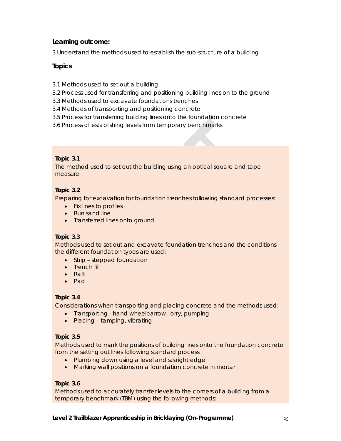3 Understand the methods used to establish the sub-structure of a building

## **Topics**

- 3.1 Methods used to set out a building
- 3.2 Process used for transferring and positioning building lines on to the ground
- 3.3 Methods used to excavate foundations trenches
- 3.4 Methods of transporting and positioning concrete
- 3.5 Process for transferring building lines onto the foundation concrete
- 3.6 Process of establishing levels from temporary benchmarks

## **Topic 3.1**

The method used to set out the building using an optical square and tape measure

## **Topic 3.2**

Preparing for excavation for foundation trenches following standard processes:

- Fix lines to profiles
- Run sand line
- Transferred lines onto ground

## **Topic 3.3**

Methods used to set out and excavate foundation trenches and the conditions the different foundation types are used:

- Strip stepped foundation
- Trench fill
- Raft
- Pad

## **Topic 3.4**

Considerations when transporting and placing concrete and the methods used:

- Transporting hand wheelbarrow, lorry, pumping
- Placing tamping, vibrating

## **Topic 3.5**

Methods used to mark the positions of building lines onto the foundation concrete from the setting out lines following standard process

- Plumbing down using a level and straight edge
- Marking wall positions on a foundation concrete in mortar

## **Topic 3.6**

Methods used to accurately transfer levels to the corners of a building from a temporary benchmark (TBM) using the following methods: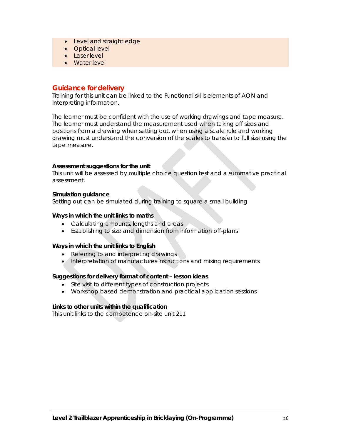- Level and straight edge
- Optical level
- **Laser level**
- Water level

## **Guidance for delivery**

Training for this unit can be linked to the Functional skills elements of AON and Interpreting information.

The learner must be confident with the use of working drawings and tape measure. The learner must understand the measurement used when taking off sizes and positions from a drawing when setting out, when using a scale rule and working drawing must understand the conversion of the scales to transfer to full size using the tape measure.

#### **Assessment suggestions for the unit**

This unit will be assessed by multiple choice question test and a summative practical assessment.

#### **Simulation guidance**

Setting out can be simulated during training to square a small building

#### **Ways in which the unit links to maths**

- Calculating amounts, lengths and areas
- Establishing to size and dimension from information off-plans

#### **Ways in which the unit links to English**

- Referring to and interpreting drawings
- Interpretation of manufactures instructions and mixing requirements

#### **Suggestions for delivery format of content – lesson ideas**

- Site visit to different types of construction projects
- Workshop based demonstration and practical application sessions

#### **Links to other units within the qualification**

This unit links to the competence on-site unit 211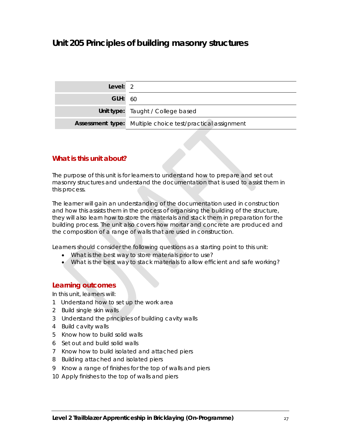## **Unit 205 Principles of building masonry structures**

| Level: $2$     |                                                            |
|----------------|------------------------------------------------------------|
| <b>GLH: 60</b> |                                                            |
|                | Unit type: Taught / College based                          |
|                | Assessment type: Multiple choice test/practical assignment |

## **What is this unit about?**

The purpose of this unit is for learners to understand how to prepare and set out masonry structures and understand the documentation that is used to assist them in this process.

The learner will gain an understanding of the documentation used in construction and how this assists them in the process of organising the building of the structure, they will also learn how to store the materials and stack them in preparation for the building process. The unit also covers how mortar and concrete are produced and the composition of a range of walls that are used in construction.

Learners should consider the following questions as a starting point to this unit:

- What is the best way to store materials prior to use?
- What is the best way to stack materials to allow efficient and safe working?

#### **Learning outcomes**

In this unit, learners will:

- 1 Understand how to set up the work area
- 2 Build single skin walls
- 3 Understand the principles of building cavity walls
- 4 Build cavity walls
- 5 Know how to build solid walls
- 6 Set out and build solid walls
- 7 Know how to build isolated and attached piers
- 8 Building attached and isolated piers
- 9 Know a range of finishes for the top of walls and piers
- 10 Apply finishes to the top of walls and piers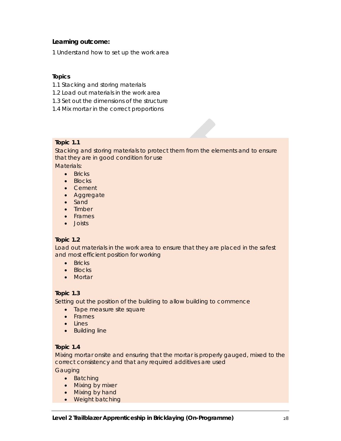1 Understand how to set up the work area

## **Topics**

- 1.1 Stacking and storing materials
- 1.2 Load out materials in the work area
- 1.3 Set out the dimensions of the structure
- 1.4 Mix mortar in the correct proportions

## **Topic 1.1**

Stacking and storing materials to protect them from the elements and to ensure that they are in good condition for use Materials:

- $\bullet$  Bricks
- Blocks
- Cement
- Aggregate
- Sand
- Timber
- Frames
- Joists

## **Topic 1.2**

Load out materials in the work area to ensure that they are placed in the safest and most efficient position for working

- Bricks
- Blocks
- Mortar

## **Topic 1.3**

Setting out the position of the building to allow building to commence

- Tape measure site square
- Frames
- Lines
- Building line

## **Topic 1.4**

Mixing mortar onsite and ensuring that the mortar is properly gauged, mixed to the correct consistency and that any required additives are used

**Gauging** 

- Batching
- Mixing by mixer
- Mixing by hand
- Weight batching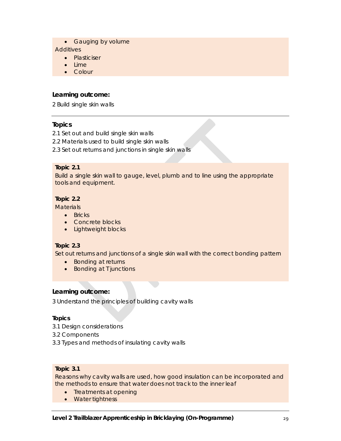• Gauging by volume

**Additives** 

- Plasticiser
- Lime
- Colour

## **Learning outcome:**

2 Build single skin walls

## **Topics**

- 2.1 Set out and build single skin walls
- 2.2 Materials used to build single skin walls
- 2.3 Set out returns and junctions in single skin walls

#### **Topic 2.1**

Build a single skin wall to gauge, level, plumb and to line using the appropriate tools and equipment.

## **Topic 2.2**

**Materials** 

- Bricks
- Concrete blocks
- Lightweight blocks

## **Topic 2.3**

Set out returns and junctions of a single skin wall with the correct bonding pattern

- Bonding at returns
- Bonding at T junctions

## **Learning outcome:**

3 Understand the principles of building cavity walls

## **Topics**

- 3.1 Design considerations
- 3.2 Components
- 3.3 Types and methods of insulating cavity walls

## **Topic 3.1**

Reasons why cavity walls are used, how good insulation can be incorporated and the methods to ensure that water does not track to the inner leaf

- Treatments at opening
- Water tightness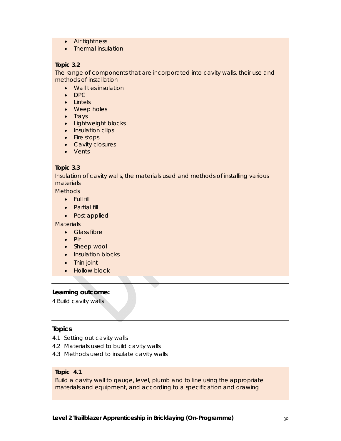- Air tightness
- Thermal insulation

#### **Topic 3.2**

The range of components that are incorporated into cavity walls, their use and methods of installation

- Wall ties insulation
- DPC
- Lintels
- Weep holes
- $\bullet$  Trays
- Lightweight blocks
- Insulation clips
- Fire stops
- Cavity closures
- Vents

#### **Topic 3.3**

Insulation of cavity walls, the materials used and methods of installing various materials

**Methods** 

- Full fill
- Partial fill
- Post applied

**Materials** 

- Glass fibre
- $\bullet$  Pir
- Sheep wool
- Insulation blocks
- Thin joint
- Hollow block

## **Learning outcome:**

4 Build cavity walls

## **Topics**

- 4.1 Setting out cavity walls
- 4.2 Materials used to build cavity walls
- 4.3 Methods used to insulate cavity walls

#### **Topic 4.1**

Build a cavity wall to gauge, level, plumb and to line using the appropriate materials and equipment, and according to a specification and drawing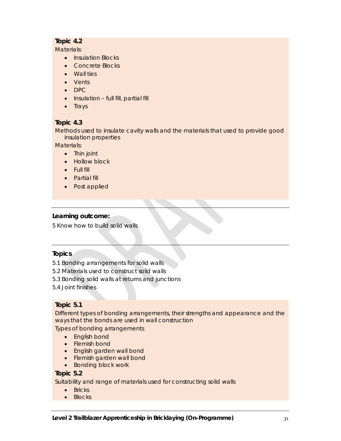## **Topic 4.2**

Materials:

- Insulation Blocks
- Concrete Blocks
- Wall ties
- Vents
- $\bullet$  DPC
- Insulation full fill, partial fill
- $\bullet$  Trays

## **Topic 4.3**

Methods used to insulate cavity walls and the materials that used to provide good insulation properties

Materials:

- Thin joint
- Hollow block
- Full fill
- Partial fill
- Post applied

## **Learning outcome:**

5 Know how to build solid walls

## **Topics**

- 5.1 Bonding arrangements for solid walls
- 5.2 Materials used to construct solid walls
- 5.3 Bonding solid walls at returns and junctions
- 5.4 Joint finishes

## **Topic 5.1**

Different types of bonding arrangements, their strengths and appearance and the ways that the bonds are used in wall construction

Types of bonding arrangements

- English bond
- Flemish bond
- **•** English garden wall bond
- Flemish garden wall bond
- Bonding block work

## **Topic 5.2**

Suitability and range of materials used for constructing solid walls

- $\bullet$  Bricks
- Blocks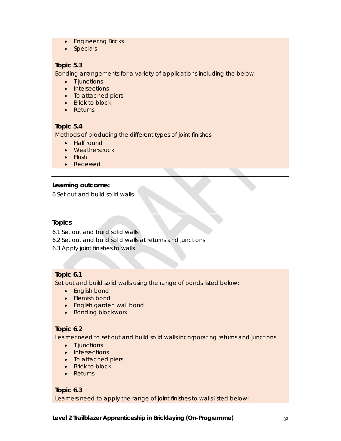- Engineering Bricks
- Specials

## **Topic 5.3**

Bonding arrangements for a variety of applications including the below:

- T junctions
- Intersections
- To attached piers
- Brick to block
- Returns

## **Topic 5.4**

Methods of producing the different types of joint finishes

- Half round
- Weatherstruck
- $\bullet$  Flush
- Recessed

## **Learning outcome:**

6 Set out and build solid walls

## **Topics**

6.1 Set out and build solid walls

- 6.2 Set out and build solid walls at returns and junctions
- 6.3 Apply joint finishes to walls

## **Topic 6.1**

Set out and build solid walls using the range of bonds listed below:

- English bond
- Flemish bond
- English garden wall bond
- **•** Bonding blockwork

## **Topic 6.2**

Learner need to set out and build solid walls incorporating returns and junctions

- $\bullet$  T junctions
- Intersections
- To attached piers
- Brick to block
- Returns

## **Topic 6.3**

Learners need to apply the range of joint finishes to walls listed below: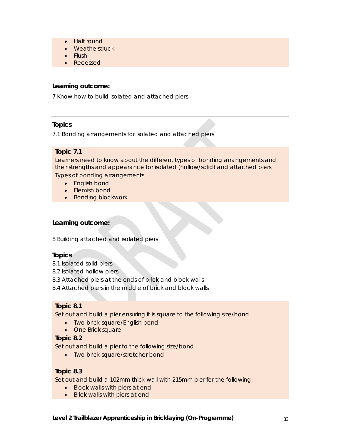- Half round
- Weatherstruck
- Flush
- Recessed

7 Know how to build isolated and attached piers

## **Topics**

7.1 Bonding arrangements for isolated and attached piers

## **Topic 7.1**

Learners need to know about the different types of bonding arrangements and their strengths and appearance for isolated (hollow/solid) and attached piers Types of bonding arrangements

- English bond
- Flemish bond
- Bonding blockwork

## **Learning outcome:**

8 Building attached and isolated piers

## **Topics**

- 8.1 Isolated solid piers
- 8.2 Isolated hollow piers
- 8.3 Attached piers at the ends of brick and block walls
- 8.4 Attached piers in the middle of brick and block walls

## **Topic 8.1**

Set out and build a pier ensuring it is square to the following size/bond

- Two brick square/English bond
- One Brick square

## **Topic 8.2**

Set out and build a pier to the following size/bond

• Two brick square/stretcher bond

## **Topic 8.3**

Set out and build a 102mm thick wall with 215mm pier for the following:

- Block walls with piers at end
- Brick walls with piers at end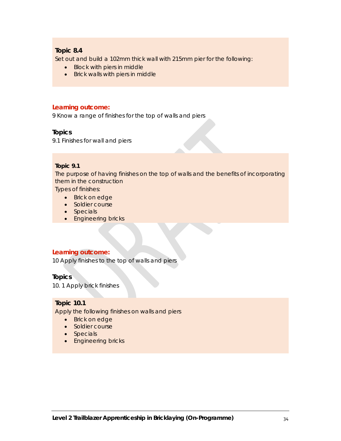## **Topic 8.4**

Set out and build a 102mm thick wall with 215mm pier for the following:

- Block with piers in middle
- Brick walls with piers in middle

#### **Learning outcome:**

9 Know a range of finishes for the top of walls and piers

#### **Topics**

9.1 Finishes for wall and piers

#### **Topic 9.1**

The purpose of having finishes on the top of walls and the benefits of incorporating them in the construction

Types of finishes:

- Brick on edge
- Soldier course
- Specials
- **•** Engineering bricks

#### **Learning outcome:**

10 Apply finishes to the top of walls and piers

#### **Topics**

10. 1 Apply brick finishes

## **Topic 10.1**

Apply the following finishes on walls and piers

- Brick on edge
- Soldier course
- Specials
- Engineering bricks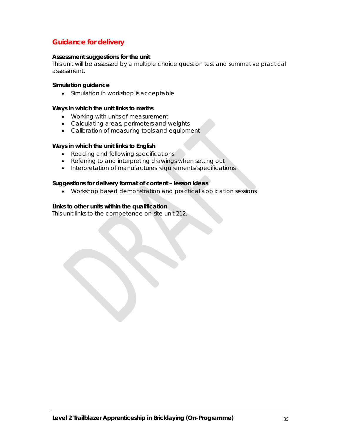## **Guidance for delivery**

#### **Assessment suggestions for the unit**

This unit will be assessed by a multiple choice question test and summative practical assessment.

#### **Simulation guidance**

• Simulation in workshop is acceptable

#### **Ways in which the unit links to maths**

- Working with units of measurement
- Calculating areas, perimeters and weights
- Calibration of measuring tools and equipment

#### **Ways in which the unit links to English**

- Reading and following specifications
- Referring to and interpreting drawings when setting out
- Interpretation of manufactures requirements/specifications

#### **Suggestions for delivery format of content – lesson ideas**

Workshop based demonstration and practical application sessions

#### **Links to other units within the qualification**

This unit links to the competence on-site unit 212.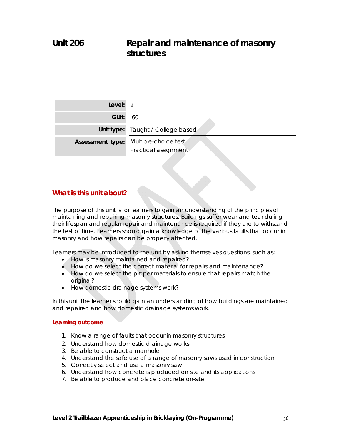## **Unit 206 Repair and maintenance of masonry structures**

| Level: 2                |                                              |
|-------------------------|----------------------------------------------|
| GLH:                    | - 60                                         |
|                         | Unit type: Taught / College based            |
| <b>Assessment type:</b> | Multiple-choice test<br>Practical assignment |

## **What is this unit about?**

The purpose of this unit is for learners to gain an understanding of the principles of maintaining and repairing masonry structures. Buildings suffer wear and tear during their lifespan and regular repair and maintenance is required if they are to withstand the test of time. Learners should gain a knowledge of the various faults that occur in masonry and how repairs can be properly affected.

Learners may be introduced to the unit by asking themselves questions, such as:

- How is masonry maintained and repaired?
- How do we select the correct material for repairs and maintenance?
- How do we select the proper materials to ensure that repairs match the original?
- How domestic drainage systems work?

In this unit the learner should gain an understanding of how buildings are maintained and repaired and how domestic drainage systems work.

#### **Learning outcome**

- 1. Know a range of faults that occur in masonry structures
- 2. Understand how domestic drainage works
- 3. Be able to construct a manhole
- 4. Understand the safe use of a range of masonry saws used in construction
- 5. Correctly select and use a masonry saw
- 6. Understand how concrete is produced on site and its applications
- 7. Be able to produce and place concrete on-site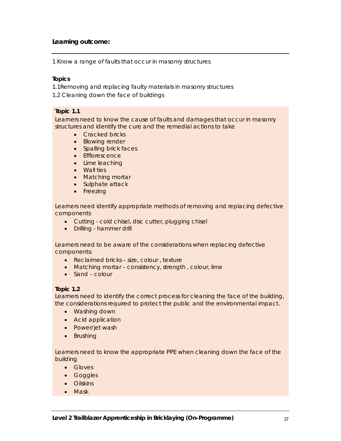1 Know a range of faults that occur in masonry structures

## **Topics**

1.1Removing and replacing faulty materials in masonry structures

1.2 Cleaning down the face of buildings

## **Topic 1.1**

Learners need to know the cause of faults and damages that occur in masonry structures and identify the cure and the remedial actions to take

- Cracked bricks
- Blowing render
- Spalling brick faces
- **•** Efflorescence
- Lime leaching
- Wall ties
- Matching mortar
- Sulphate attack
- Freezing

Learners need identify appropriate methods of removing and replacing defective components

- Cutting cold chisel, disc cutter, plugging chisel
- Drilling hammer drill

Learners need to be aware of the considerations when replacing defective components:

- Reclaimed bricks size, colour, texture
- Matching mortar consistency, strength, colour, lime
- Sand colour

## **Topic 1.2**

Learners need to identify the correct process for cleaning the face of the building, the considerations required to protect the public and the environmental impact.

- Washing down
- Acid application
- Power/jet wash
- Brushing

Learners need to know the appropriate PPE when cleaning down the face of the building

- Gloves
- Goggles
- **•** Oilskins
- Mask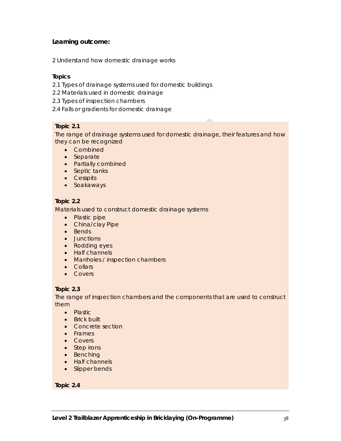2 Understand how domestic drainage works

## **Topics**

- 2.1 Types of drainage systems used for domestic buildings
- 2.2 Materials used in domestic drainage
- 2.3 Types of inspection chambers
- 2.4 Falls or gradients for domestic drainage

## **Topic 2.1**

The range of drainage systems used for domestic drainage, their features and how they can be recognized

- Combined
- Separate
- Partially combined
- Septic tanks
- Cesspits
- Soakaways

### **Topic 2.2**

Materials used to construct domestic drainage systems

- Plastic pipe
- China/clay Pipe
- Bends
- **•** Junctions
- Rodding eyes
- Half channels
- Manholes / inspection chambers
- Collars
- Covers

## **Topic 2.3**

The range of inspection chambers and the components that are used to construct them

- Plastic
- Brick built
- Concrete section
- Frames
- Covers
- Step irons
- Benching
- Half channels
- Slipper bends

### **Topic 2.4**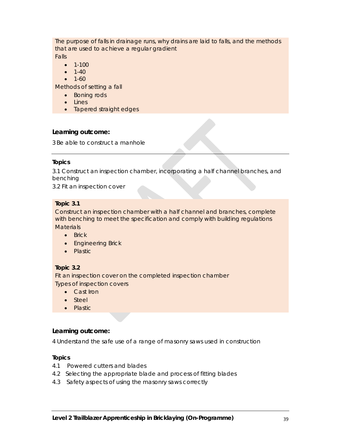The purpose of falls in drainage runs, why drains are laid to falls, and the methods that are used to achieve a regular gradient

Falls

- $-1-100$
- $-1-40$
- $-1-60$

Methods of setting a fall

- Boning rods
- Lines
- Tapered straight edges

## **Learning outcome:**

3 Be able to construct a manhole

## **Topics**

3.1 Construct an inspection chamber, incorporating a half channel branches, and benching

3.2 Fit an inspection cover

## **Topic 3.1**

Construct an inspection chamber with a half channel and branches, complete with benching to meet the specification and comply with building regulations **Materials** 

- Brick
- **•** Engineering Brick
- Plastic

# **Topic 3.2**

Fit an inspection cover on the completed inspection chamber Types of inspection covers

- Cast Iron
- Steel
- Plastic

# **Learning outcome:**

4 Understand the safe use of a range of masonry saws used in construction

# **Topics**

- 4.1 Powered cutters and blades
- 4.2 Selecting the appropriate blade and process of fitting blades
- 4.3 Safety aspects of using the masonry saws correctly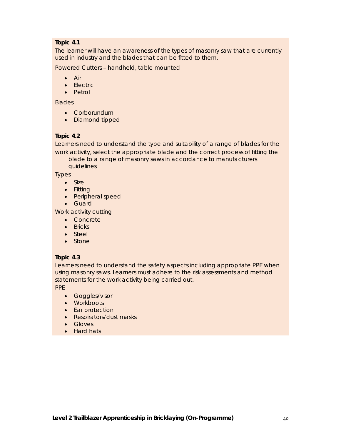# **Topic 4.1**

The learner will have an awareness of the types of masonry saw that are currently used in industry and the blades that can be fitted to them.

Powered Cutters – handheld, table mounted

- $\bullet$  Air
- Electric
- Petrol

**Blades** 

- Corborundum
- Diamond tipped

## **Topic 4.2**

Learners need to understand the type and suitability of a range of blades for the work activity, select the appropriate blade and the correct process of fitting the

blade to a range of masonry saws in accordance to manufacturers guidelines

Types

- Size
- Fitting
- Peripheral speed
- Guard

Work activity cutting

- Concrete
- $\bullet$  Bricks
- Steel
- Stone

## **Topic 4.3**

Learners need to understand the safety aspects including appropriate PPE when using masonry saws. Learners must adhere to the risk assessments and method statements for the work activity being carried out.

PPE

- Goggles/visor
- Workboots
- Ear protection
- Respirators/dust masks
- Gloves
- Hard hats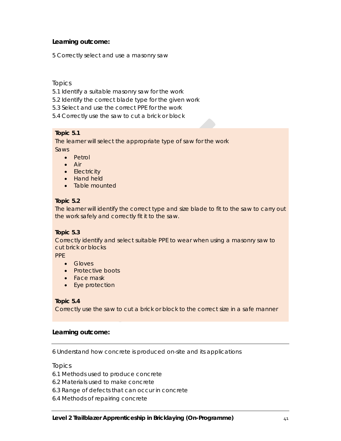5 Correctly select and use a masonry saw

Topics

- 5.1 Identify a suitable masonry saw for the work
- 5.2 Identify the correct blade type for the given work
- 5.3 Select and use the correct PPE for the work
- 5.4 Correctly use the saw to cut a brick or block

## **Topic 5.1**

The learner will select the appropriate type of saw for the work Saws

- Petrol
- Air
- Electricity
- Hand held
- Table mounted

# **Topic 5.2**

The learner will identify the correct type and size blade to fit to the saw to carry out the work safely and correctly fit it to the saw.

## **Topic 5.3**

Correctly identify and select suitable PPE to wear when using a masonry saw to cut brick or blocks

PPE

- **•** Gloves
- Protective boots
- Face mask
- Eye protection

# **Topic 5.4**

Correctly use the saw to cut a brick or block to the correct size in a safe manner

# **Learning outcome:**

6 Understand how concrete is produced on-site and its applications

## Topics

- 6.1 Methods used to produce concrete
- 6.2 Materials used to make concrete
- 6.3 Range of defects that can occur in concrete
- 6.4 Methods of repairing concrete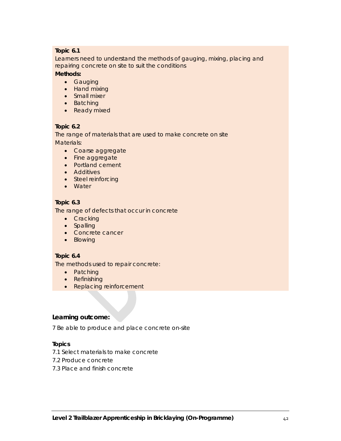## **Topic 6.1**

Learners need to understand the methods of gauging, mixing, placing and repairing concrete on site to suit the conditions

## **Methods:**

- **•** Gauging
- Hand mixing
- Small mixer
- Batching
- Ready mixed

## **Topic 6.2**

The range of materials that are used to make concrete on site Materials:

- Coarse aggregate
- Fine aggregate
- Portland cement
- Additives
- Steel reinforcing
- Water

# **Topic 6.3**

The range of defects that occur in concrete

- Cracking
- Spalling
- Concrete cancer
- Blowing

# **Topic 6.4**

The methods used to repair concrete:

- Patching
- Refinishing
- Replacing reinforcement

# **Learning outcome:**

7 Be able to produce and place concrete on-site

# **Topics**

- 7.1 Select materials to make concrete
- 7.2 Produce concrete
- 7.3 Place and finish concrete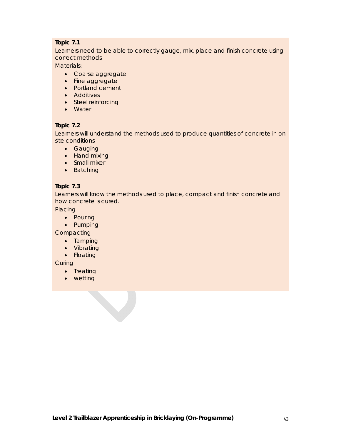# **Topic 7.1**

Learners need to be able to correctly gauge, mix, place and finish concrete using correct methods

Materials:

- Coarse aggregate
- Fine aggregate
- Portland cement
- **•** Additives
- Steel reinforcing
- Water

# **Topic 7.2**

Learners will understand the methods used to produce quantities of concrete in on site conditions

- Gauging
- Hand mixing
- Small mixer
- Batching

# **Topic 7.3**

Learners will know the methods used to place, compact and finish concrete and how concrete is cured.

**Placing** 

- Pouring
- Pumping

**Compacting** 

- Tamping
- Vibrating
- Floating

**Curing** 

- Treating
- wetting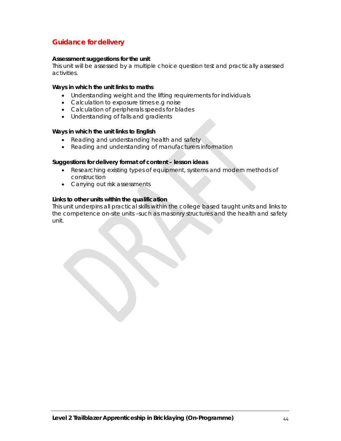# **Guidance for delivery**

### **Assessment suggestions for the unit**

This unit will be assessed by a multiple choice question test and practically assessed activities.

### **Ways in which the unit links to maths**

- Understanding weight and the lifting requirements for individuals
- Calculation to exposure times e.g noise
- Calculation of peripherals speeds for blades
- Understanding of falls and gradients

### **Ways in which the unit links to English**

- Reading and understanding health and safety
- Reading and understanding of manufacturers information

### **Suggestions for delivery format of content – lesson ideas**

- Researching existing types of equipment, systems and modern methods of construction
- Carrying out risk assessments

### **Links to other units within the qualification**

This unit underpins all practical skills within the college based taught units and links to the competence on-site units –such as masonry structures and the health and safety unit.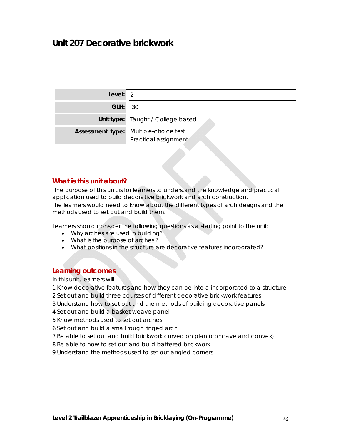# **Unit 207 Decorative brickwork**

| Level: $2$     |                                                                      |
|----------------|----------------------------------------------------------------------|
| <b>GLH: 30</b> |                                                                      |
|                | Unit type: Taught / College based                                    |
|                | <b>Assessment type:</b> Multiple-choice test<br>Practical assignment |

# **What is this unit about?**

 The purpose of this unit is for learners to understand the knowledge and practical application used to build decorative brickwork and arch construction. The learners would need to know about the different types of arch designs and the methods used to set out and build them.

Learners should consider the following questions as a starting point to the unit:

- Why arches are used in building?
- What is the purpose of arches?
- What positions in the structure are decorative features incorporated?

## **Learning outcomes**

In this unit, learners will

- 1 Know decorative features and how they can be into a incorporated to a structure
- 2 Set out and build three courses of different decorative brickwork features
- 3 Understand how to set out and the methods of building decorative panels

4 Set out and build a basket weave panel

5 Know methods used to set out arches

6 Set out and build a small rough ringed arch

- 7 Be able to set out and build brickwork curved on plan (concave and convex)
- 8 Be able to how to set out and build battered brickwork
- 9 Understand the methods used to set out angled corners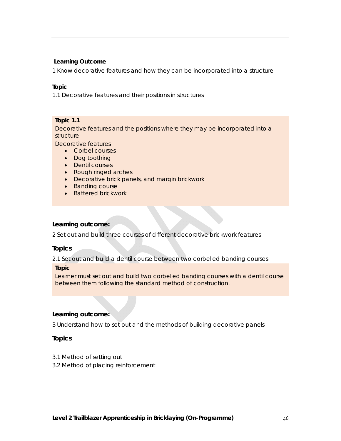1 Know decorative features and how they can be incorporated into a structure

### **Topic**

1.1 Decorative features and their positions in structures

### **Topic 1.1**

Decorative features and the positions where they may be incorporated into a structure

Decorative features

- Corbel courses
- Dog toothing
- Dentil courses
- Rough ringed arches
- Decorative brick panels, and margin brickwork
- Banding course
- Battered brickwork

## **Learning outcome:**

2 Set out and build three courses of different decorative brickwork features

## **Topics**

2.1 Set out and build a dentil course between two corbelled banding courses

### **Topic**

Learner must set out and build two corbelled banding courses with a dentil course between them following the standard method of construction.

## **Learning outcome:**

3 Understand how to set out and the methods of building decorative panels

# **Topics**

- 3.1 Method of setting out
- 3.2 Method of placing reinforcement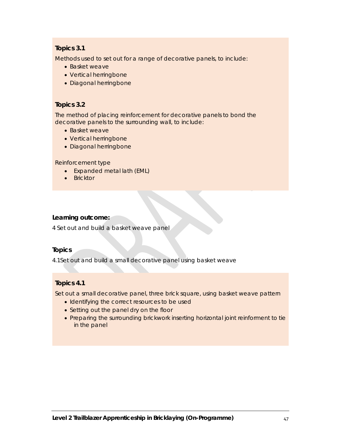# **Topics 3.1**

Methods used to set out for a range of decorative panels, to include:

- Basket weave
- Vertical herringbone
- Diagonal herringbone

# **Topics 3.2**

The method of placing reinforcement for decorative panels to bond the decorative panels to the surrounding wall, to include:

- Basket weave
- Vertical herringbone
- Diagonal herringbone

## Reinforcement type

- Expanded metal lath (EML)
- Bricktor

# **Learning outcome:**

4 Set out and build a basket weave panel

## **Topics**

4.1Set out and build a small decorative panel using basket weave

# **Topics 4.1**

Set out a small decorative panel, three brick square, using basket weave pattern

- Identifying the correct resources to be used
- Setting out the panel dry on the floor
- Preparing the surrounding brickwork inserting horizontal joint reinforment to tie in the panel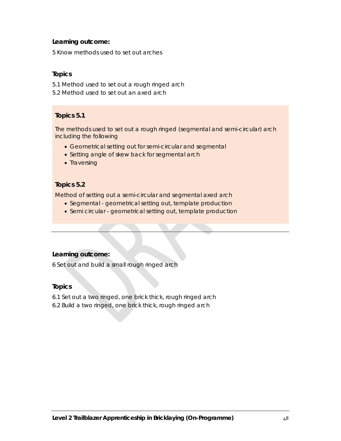5 Know methods used to set out arches

# **Topics**

- 5.1 Method used to set out a rough ringed arch
- 5.2 Method used to set out an axed arch

# **Topics 5.1**

The methods used to set out a rough ringed (segmental and semi-circular) arch including the following

- Geometrical setting out for semi-circular and segmental
- Setting angle of skew back for segmental arch
- Traversing

# **Topics 5.2**

Method of setting out a semi-circular and segmental axed arch

- Segmental geometrical setting out, template production
- Semi circular geometrical setting out, template production

# **Learning outcome:**

6 Set out and build a small rough ringed arch

# **Topics**

- 6.1 Set out a two ringed, one brick thick, rough ringed arch
- 6.2 Build a two ringed, one brick thick, rough ringed arch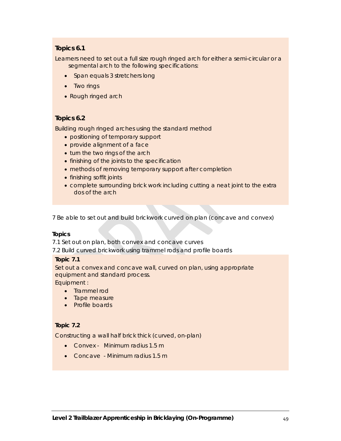# **Topics 6.1**

Learners need to set out a full size rough ringed arch for either a semi-circular or a segmental arch to the following specifications:

- Span equals 3 stretchers long
- Two rings
- Rough ringed arch

# **Topics 6.2**

Building rough ringed arches using the standard method

- positioning of temporary support
- provide alignment of a face
- turn the two rings of the arch
- finishing of the joints to the specification
- methods of removing temporary support after completion
- finishing soffit joints
- complete surrounding brick work including cutting a neat joint to the extra dos of the arch

7 Be able to set out and build brickwork curved on plan (concave and convex)

## **Topics**

7.1 Set out on plan, both convex and concave curves

7.2 Build curved brickwork using trammel rods and profile boards

## **Topic 7.1**

Set out a convex and concave wall, curved on plan, using appropriate equipment and standard process.

Equipment :

- Trammel rod
- Tape measure
- Profile boards

## **Topic 7.2**

Constructing a wall half brick thick (curved, on-plan)

- Convex Minimum radius 1.5 m
- Concave Minimum radius 1.5 m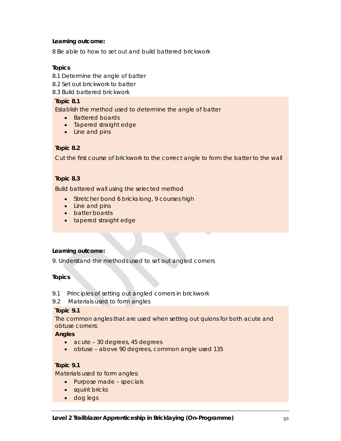8 Be able to how to set out and build battered brickwork

## **Topics**

- 8.1 Determine the angle of batter
- 8.2 Set out brickwork to batter
- 8.3 Build battered brickwork

### **Topic 8.1**

Establish the method used to determine the angle of batter

- Battered boards
- Tapered straight edge
- Line and pins

## **Topic 8.2**

Cut the first course of brickwork to the correct angle to form the batter to the wall

### **Topic 8.3**

Build battered wall using the selected method

- **•** Stretcher bond 6 bricks long, 9 courses high
- Line and pins
- batter boards
- tapered straight edge

### **Learning outcome:**

9. Understand the methods used to set out angled corners

## **Topics**

9.1 Principles of setting out angled corners in brickwork

## 9.2 Materials used to form angles

### **Topic 9.1**

The common angles that are used when setting out quions for both acute and obtuse corners:

### **Angles**

- acute 30 degrees, 45 degrees
- obtuse above 90 degrees, common angle used 135

## **Topic 9.1**

Materials used to form angles:

- Purpose made specials
- squint bricks
- dog legs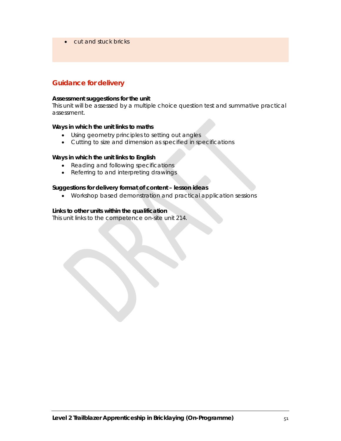• cut and stuck bricks

# **Guidance for delivery**

### **Assessment suggestions for the unit**

This unit will be assessed by a multiple choice question test and summative practical assessment.

### **Ways in which the unit links to maths**

- Using geometry principles to setting out angles
- Cutting to size and dimension as specified in specifications

### **Ways in which the unit links to English**

- Reading and following specifications
- Referring to and interpreting drawings

## **Suggestions for delivery format of content – lesson ideas**

Workshop based demonstration and practical application sessions

### **Links to other units within the qualification**

This unit links to the competence on-site unit 214.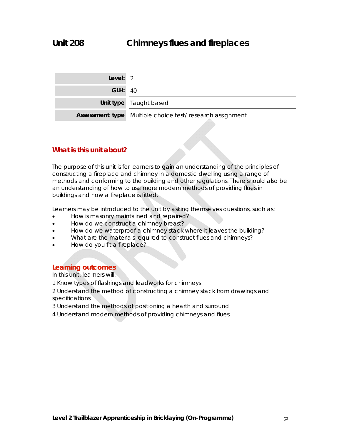| Level: 2       |                                                          |
|----------------|----------------------------------------------------------|
| <b>GLH: 40</b> |                                                          |
|                | Unit type Taught based                                   |
|                | Assessment type Multiple choice test/research assignment |

# **What is this unit about?**

The purpose of this unit is for learners to gain an understanding of the principles of constructing a fireplace and chimney in a domestic dwelling using a range of methods and conforming to the building and other regulations. There should also be an understanding of how to use more modern methods of providing flues in buildings and how a fireplace is fitted.

Learners may be introduced to the unit by asking themselves questions, such as:

- How is masonry maintained and repaired?
- How do we construct a chimney breast?
- How do we waterproof a chimney stack where it leaves the building?
- What are the materials required to construct flues and chimneys?
- How do you fit a fireplace?

## **Learning outcomes**

In this unit, learners will:

- 1 Know types of flashings and leadworks for chimneys
- 2 Understand the method of constructing a chimney stack from drawings and specifications
- 3 Understand the methods of positioning a hearth and surround
- 4 Understand modern methods of providing chimneys and flues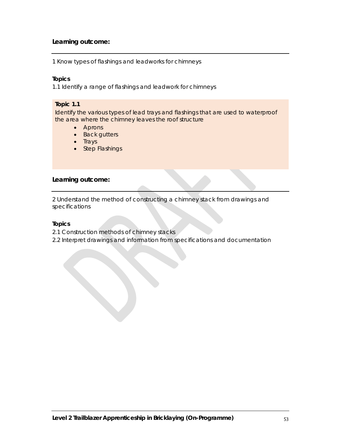1 Know types of flashings and leadworks for chimneys

### **Topics**

1.1 Identify a range of flashings and leadwork for chimneys

### **Topic 1.1**

Identify the various types of lead trays and flashings that are used to waterproof the area where the chimney leaves the roof structure

- Aprons
- Back gutters
- $\bullet$  Trays
- Step Flashings

## **Learning outcome:**

2 Understand the method of constructing a chimney stack from drawings and specifications

## **Topics**

- 2.1 Construction methods of chimney stacks
- 2.2 Interpret drawings and information from specifications and documentation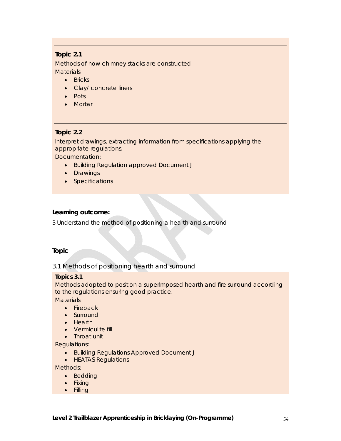# **Topic 2.1**

Methods of how chimney stacks are constructed **Materials** 

- Bricks
- Clay/ concrete liners
- Pots
- Mortar

# **Topic 2.2**

Interpret drawings, extracting information from specifications applying the appropriate regulations.

Documentation:

- Building Regulation approved Document J
- Drawings
- Specifications

## **Learning outcome:**

3 Understand the method of positioning a hearth and surround

## **Topic**

3.1 Methods of positioning hearth and surround

## **Topics 3.1**

Methods adopted to position a superimposed hearth and fire surround according to the regulations ensuring good practice.

**Materials** 

- Fireback
- Surround
- Hearth
- Vermiculite fill
- Throat unit

Regulations:

- **Building Regulations Approved Document J**
- HEATAS Regulations

Methods:

- Bedding
- Fixing
- Filling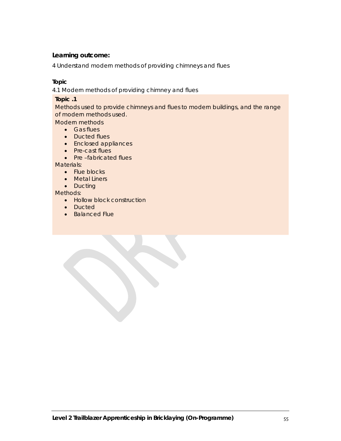4 Understand modern methods of providing chimneys and flues

## **Topic**

4.1 Modern methods of providing chimney and flues

## **Topic .1**

Methods used to provide chimneys and flues to modern buildings, and the range of modern methods used.

Modern methods

- Gas flues
- Ducted flues
- Enclosed appliances
- Pre-cast flues
- Pre-fabricated flues

Materials:

- Flue blocks
- Metal Liners
- Ducting

Methods:

- Hollow block construction
- Ducted
- Balanced Flue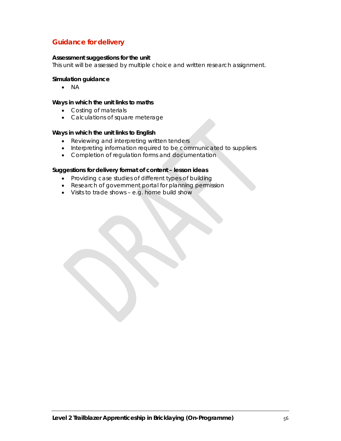# **Guidance for delivery**

### **Assessment suggestions for the unit**

This unit will be assessed by multiple choice and written research assignment.

### **Simulation guidance**

 $\bullet$  NA

### **Ways in which the unit links to maths**

- Costing of materials
- Calculations of square meterage

### **Ways in which the unit links to English**

- Reviewing and interpreting written tenders
- Interpreting information required to be communicated to suppliers
- Completion of regulation forms and documentation

### **Suggestions for delivery format of content – lesson ideas**

- Providing case studies of different types of building
- Research of government portal for planning permission
- Visits to trade shows e.g. home build show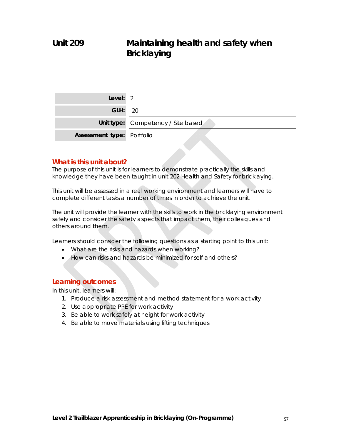| Level: $2$                        |                                    |
|-----------------------------------|------------------------------------|
| <b>GLH:</b> 20                    |                                    |
|                                   | Unit type: Competency / Site based |
| <b>Assessment type: Portfolio</b> |                                    |

# **What is this unit about?**

The purpose of this unit is for learners to demonstrate practically the skills and knowledge they have been taught in unit 202 Health and Safety for bricklaying.

This unit will be assessed in a real working environment and learners will have to complete different tasks a number of times in order to achieve the unit.

The unit will provide the learner with the skills to work in the bricklaying environment safely and consider the safety aspects that impact them, their colleagues and others around them.

Learners should consider the following questions as a starting point to this unit:

- What are the risks and hazards when working?
- How can risks and hazards be minimized for self and others?

# **Learning outcomes**

In this unit, learners will:

- 1. Produce a risk assessment and method statement for a work activity
- 2. Use appropriate PPE for work activity
- 3. Be able to work safely at height for work activity
- 4. Be able to move materials using lifting techniques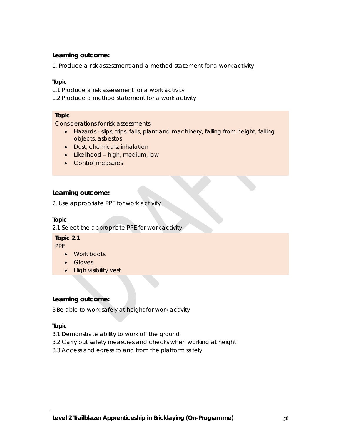1. Produce a risk assessment and a method statement for a work activity

## **Topic**

- 1.1 Produce a risk assessment for a work activity
- 1.2 Produce a method statement for a work activity

## **Topic**

Considerations for risk assessments:

- Hazards slips, trips, falls, plant and machinery, falling from height, falling objects, asbestos
- Dust, chemicals, inhalation
- Likelihood high, medium, low
- Control measures

## **Learning outcome:**

2. Use appropriate PPE for work activity

## **Topic**

2.1 Select the appropriate PPE for work activity

#### **Topic 2.1**  PPF

- Work boots
- Gloves
- High visibility vest

## **Learning outcome:**

3 Be able to work safely at height for work activity

## **Topic**

- 3.1 Demonstrate ability to work off the ground
- 3.2 Carry out safety measures and checks when working at height
- 3.3 Access and egress to and from the platform safely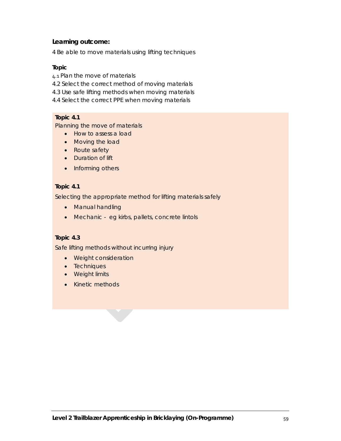4 Be able to move materials using lifting techniques

## **Topic**

- 4.1 Plan the move of materials
- 4.2 Select the correct method of moving materials
- 4.3 Use safe lifting methods when moving materials
- 4.4 Select the correct PPE when moving materials

# **Topic 4.1**

Planning the move of materials

- How to assess a load
- Moving the load
- Route safety
- Duration of lift
- Informing others

## **Topic 4.1**

Selecting the appropriate method for lifting materials safely

- Manual handling
- Mechanic eg kirbs, pallets, concrete lintols

# **Topic 4.3**

Safe lifting methods without incurring injury

- Weight consideration
- Techniques
- Weight limits
- Kinetic methods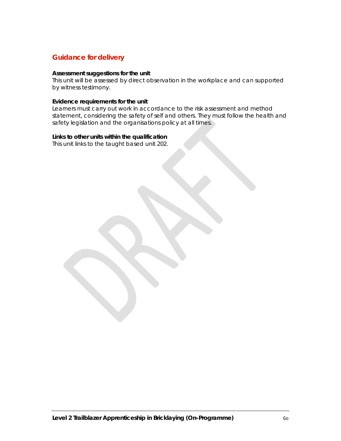# **Guidance for delivery**

### **Assessment suggestions for the unit**

This unit will be assessed by direct observation in the workplace and can supported by witness testimony.

### **Evidence requirements for the unit**

Learners must carry out work in accordance to the risk assessment and method statement, considering the safety of self and others. They must follow the health and safety legislation and the organisations policy at all times.

## **Links to other units within the qualification**

This unit links to the taught based unit 202.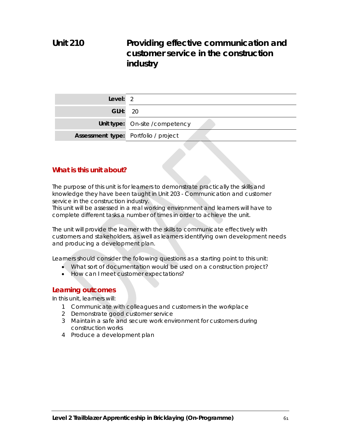# **Unit 210 Providing effective communication and customer service in the construction industry**

| Level: $2$     |                                      |
|----------------|--------------------------------------|
| <b>GLH: 20</b> |                                      |
|                | Unit type: On-site / competency      |
|                | Assessment type: Portfolio / project |

# **What is this unit about?**

The purpose of this unit is for learners to demonstrate practically the skills and knowledge they have been taught in Unit 203 - Communication and customer service in the construction industry.

This unit will be assessed in a real working environment and learners will have to complete different tasks a number of times in order to achieve the unit.

The unit will provide the learner with the skills to communicate effectively with customers and stakeholders, as well as learners identifying own development needs and producing a development plan.

Learners should consider the following questions as a starting point to this unit:

- What sort of documentation would be used on a construction project?
- How can I meet customer expectations?

## **Learning outcomes**

In this unit, learners will:

- 1 Communicate with colleagues and customers in the workplace
- 2 Demonstrate good customer service
- 3 Maintain a safe and secure work environment for customers during construction works
- 4 Produce a development plan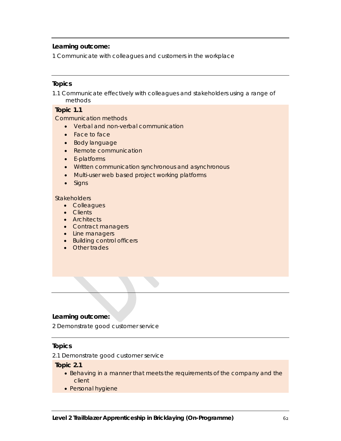1 Communicate with colleagues and customers in the workplace

# **Topics**

1.1 Communicate effectively with colleagues and stakeholders using a range of methods

# **Topic 1.1**

Communication methods

- Verbal and non-verbal communication
- Face to face
- Body language
- Remote communication
- E-platforms
- Written communication synchronous and asynchronous
- Multi-user web based project working platforms
- Signs

#### **Stakeholders**

- Colleagues
- Clients
- Architects
- Contract managers
- Line managers
- Building control officers
- Other trades

### **Learning outcome:**

2 Demonstrate good customer service

## **Topics**

2.1 Demonstrate good customer service

**Topic 2.1** 

- Behaving in a manner that meets the requirements of the company and the client
- Personal hygiene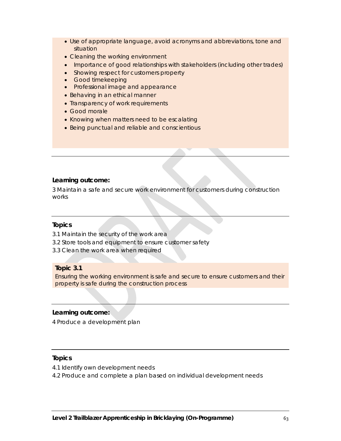- Use of appropriate language, avoid acronyms and abbreviations, tone and situation
- Cleaning the working environment
- Importance of good relationships with stakeholders (including other trades)
- Showing respect for customers property
- **•** Good timekeeping
- Professional image and appearance
- Behaving in an ethical manner
- Transparency of work requirements
- Good morale
- Knowing when matters need to be escalating
- Being punctual and reliable and conscientious

3 Maintain a safe and secure work environment for customers during construction works

## **Topics**

- 3.1 Maintain the security of the work area
- 3.2 Store tools and equipment to ensure customer safety
- 3.3 Clean the work area when required

## **Topic 3.1**

Ensuring the working environment is safe and secure to ensure customers and their property is safe during the construction process

## **Learning outcome:**

4 Produce a development plan

# **Topics**

- 4.1 Identify own development needs
- 4.2 Produce and complete a plan based on individual development needs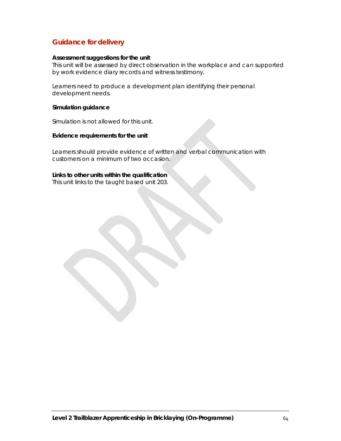# **Guidance for delivery**

### **Assessment suggestions for the unit**

This unit will be assessed by direct observation in the workplace and can supported by work evidence diary records and witness testimony.

Learners need to produce a development plan identifying their personal development needs.

### **Simulation guidance**

Simulation is not allowed for this unit.

### **Evidence requirements for the unit**

Learners should provide evidence of written and verbal communication with customers on a minimum of two occasion.

### **Links to other units within the qualification**

This unit links to the taught based unit 203.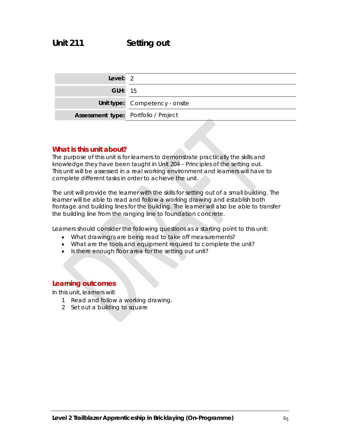# **Unit 211 Setting out**

| Level: $2$                           |                                |
|--------------------------------------|--------------------------------|
| <b>GLH: 15</b>                       |                                |
|                                      | Unit type: Competency - onsite |
| Assessment type: Portfolio / Project |                                |

# **What is this unit about?**

The purpose of this unit is for learners to demonstrate practically the skills and knowledge they have been taught in Unit 204 – Principles of the setting out. This unit will be assessed in a real working environment and learners will have to complete different tasks in order to achieve the unit.

The unit will provide the learner with the skills for setting out of a small building. The learner will be able to read and follow a working drawing and establish both frontage and building lines for the building. The learner will also be able to transfer the building line from the ranging line to foundation concrete.

Learners should consider the following questions as a starting point to this unit:

- What drawing/s are being read to take off measurements?
- What are the tools and equipment required to complete the unit?
- Is there enough floor area for the setting out unit?

## **Learning outcomes**

In this unit, learners will:

- 1 Read and follow a working drawing.
- 2 Set out a building to square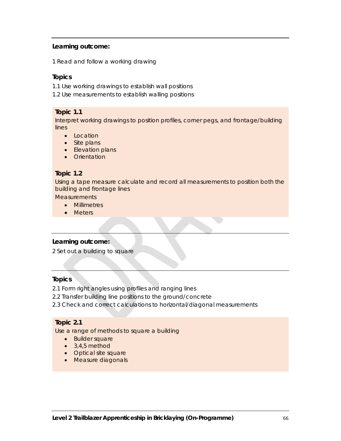1 Read and follow a working drawing

## **Topics**

1.1 Use working drawings to establish wall positions

1.2 Use measurements to establish walling positions

### **Topic 1.1**

Interpret working drawings to position profiles, corner pegs, and frontage/building lines

- Location
- Site plans
- Elevation plans
- Orientation

## **Topic 1.2**

Using a tape measure calculate and record all measurements to position both the building and frontage lines

**Measurements** 

- Millimetres
- Meters

## **Learning outcome:**

2 Set out a building to square

## **Topics**

- 2.1 Form right angles using profiles and ranging lines
- 2.2 Transfer building line positions to the ground/concrete
- 2.3 Check and correct calculations to horizontal/diagonal measurements

# **Topic 2.1**

Use a range of methods to square a building

- Builder square
- $\bullet$  3,4,5 method
- Optical site square
- Measure diagonals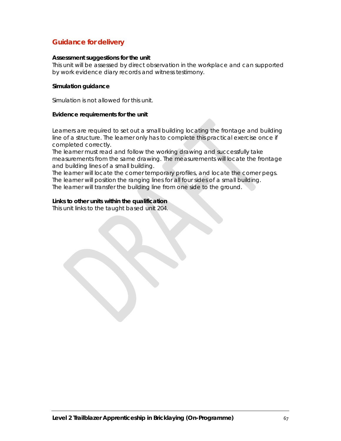# **Guidance for delivery**

### **Assessment suggestions for the unit**

This unit will be assessed by direct observation in the workplace and can supported by work evidence diary records and witness testimony.

### **Simulation guidance**

Simulation is not allowed for this unit.

#### **Evidence requirements for the unit**

Learners are required to set out a small building locating the frontage and building line of a structure. The learner only has to complete this practical exercise once if completed correctly.

The learner must read and follow the working drawing and successfully take measurements from the same drawing. The measurements will locate the frontage and building lines of a small building.

The learner will locate the corner temporary profiles, and locate the corner pegs. The learner will position the ranging lines for all four sides of a small building. The learner will transfer the building line from one side to the ground.

### **Links to other units within the qualification**

This unit links to the taught based unit 204.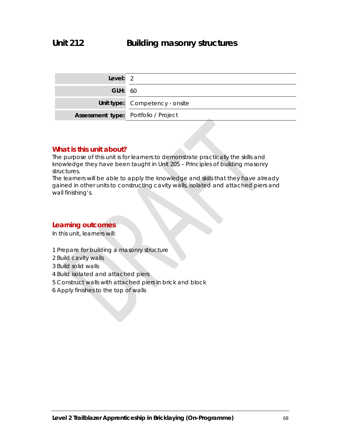| Level: $2$                           |                                |
|--------------------------------------|--------------------------------|
| <b>GLH: 60</b>                       |                                |
|                                      | Unit type: Competency - onsite |
| Assessment type: Portfolio / Project |                                |

# **What is this unit about?**

The purpose of this unit is for learners to demonstrate practically the skills and knowledge they have been taught in Unit 205 – Principles of building masonry structures.

The learners will be able to apply the knowledge and skills that they have already gained in other units to constructing cavity walls, isolated and attached piers and wall finishing's.

# **Learning outcomes**

In this unit, learners will:

- 1 Prepare for building a masonry structure
- 2 Build cavity walls
- 3 Build solid walls
- 4 Build isolated and attached piers
- 5 Construct walls with attached piers in brick and block
- 6 Apply finishes to the top of walls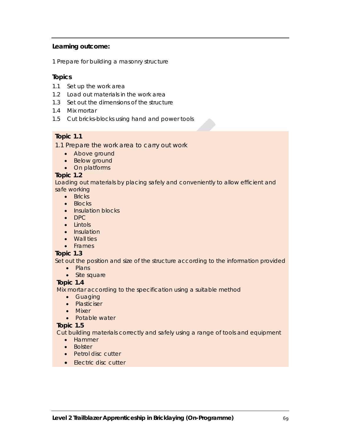1 Prepare for building a masonry structure

# **Topics**

- 1.1 Set up the work area
- 1.2 Load out materials in the work area
- 1.3 Set out the dimensions of the structure
- 1.4 Mix mortar
- 1.5 Cut bricks-blocks using hand and power tools

# **Topic 1.1**

1.1 Prepare the work area to carry out work

- Above ground
- Below ground
- On platforms

## **Topic 1.2**

Loading out materials by placing safely and conveniently to allow efficient and safe working

- Bricks
- Blocks
- Insulation blocks
- DPC
- Lintols
- Insulation
- Wall ties
- Frames

# **Topic 1.3**

Set out the position and size of the structure according to the information provided

- $\bullet$  Plans
- Site square

# **Topic 1.4**

Mix mortar according to the specification using a suitable method

- Guaging
- Plasticiser
- Mixer
- Potable water

## **Topic 1.5**

Cut building materials correctly and safely using a range of tools and equipment

- Hammer
- Bolster
- Petrol disc cutter
- Electric disc cutter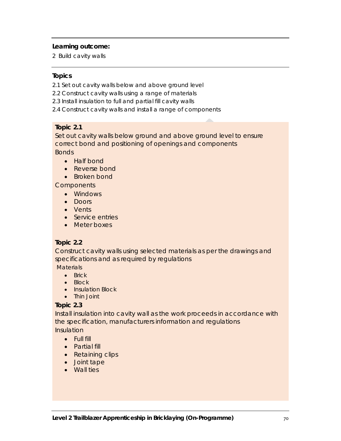2 Build cavity walls

## **Topics**

- 2.1 Set out cavity walls below and above ground level
- 2.2 Construct cavity walls using a range of materials
- 2.3 Install insulation to full and partial fill cavity walls
- 2.4 Construct cavity walls and install a range of components

## **Topic 2.1**

Set out cavity walls below ground and above ground level to ensure correct bond and positioning of openings and components

Bonds

- Half bond
- Reverse bond
- Broken bond

**Components** 

- Windows
- $\bullet$  Doors
- Vents
- Service entries
- Meter boxes

# **Topic 2.2**

Construct cavity walls using selected materials as per the drawings and specifications and as required by regulations

**Materials** 

- $\bullet$  Brick
- Block
- Insulation Block
- Thin Joint

# **Topic 2.3**

Install insulation into cavity wall as the work proceeds in accordance with the specification, manufacturers information and regulations Insulation

- - Full fill
	- Partial fill
	- Retaining clips
	- Joint tape
	- Wall ties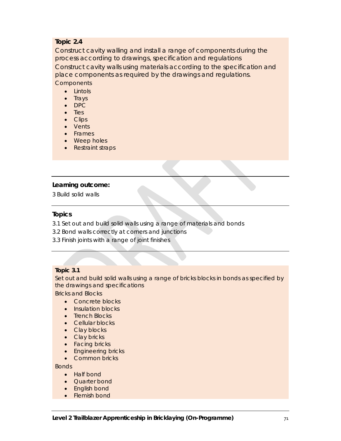# **Topic 2.4**

Construct cavity walling and install a range of components during the process according to drawings, specification and regulations Construct cavity walls using materials according to the specification and place components as required by the drawings and regulations. **Components** 

- Lintols
- $\bullet$  Trays
- DPC
- Ties
- Clips
- Vents
- Frames
- Weep holes
- Restraint straps

## **Learning outcome:**

3 Build solid walls

## **Topics**

- 3.1 Set out and build solid walls using a range of materials and bonds
- 3.2 Bond walls correctly at corners and junctions
- 3.3 Finish joints with a range of joint finishes

### **Topic 3.1**

Set out and build solid walls using a range of bricks blocks in bonds as specified by the drawings and specifications

Bricks and Blocks

- Concrete blocks
- Insulation blocks
- Trench Blocks
- Cellular blocks
- Clay blocks
- Clay bricks
- Facing bricks
- Engineering bricks
- Common bricks

**Bonds** 

- Half bond
- Ouarter bond
- English bond
- Flemish bond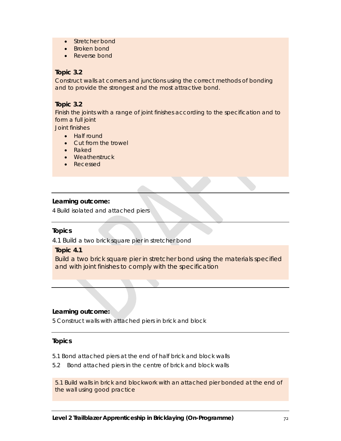- Stretcher bond
- Broken bond
- Reverse bond

# **Topic 3.2**

Construct walls at corners and junctions using the correct methods of bonding and to provide the strongest and the most attractive bond.

# **Topic 3.2**

Finish the joints with a range of joint finishes according to the specification and to form a full joint

Joint finishes

- Half round
- Cut from the trowel
- Raked
- Weatherstruck
- Recessed

## **Learning outcome:**

4 Build isolated and attached piers

## **Topics**

4.1 Build a two brick square pier in stretcher bond

## **Topic 4.1**

Build a two brick square pier in stretcher bond using the materials specified and with joint finishes to comply with the specification

## **Learning outcome:**

5 Construct walls with attached piers in brick and block

## **Topics**

- 5.1 Bond attached piers at the end of half brick and block walls
- 5.2 Bond attached piers in the centre of brick and block walls

5.1 Build walls in brick and blockwork with an attached pier bonded at the end of the wall using good practice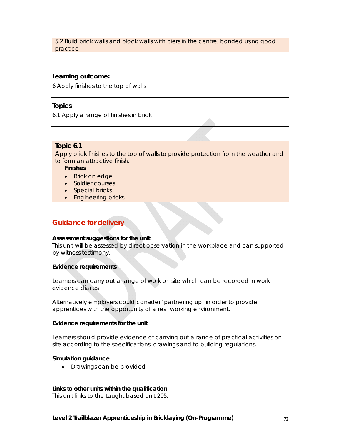5.2 Build brick walls and block walls with piers in the centre, bonded using good practice

#### **Learning outcome:**

6 Apply finishes to the top of walls

#### **Topics**

6.1 Apply a range of finishes in brick

#### **Topic 6.1**

Apply brick finishes to the top of walls to provide protection from the weather and to form an attractive finish.

**Finishes** 

- Brick on edge
- Soldier courses
- Special bricks
- Engineering bricks

## **Guidance for delivery**

#### **Assessment suggestions for the unit**

This unit will be assessed by direct observation in the workplace and can supported by witness testimony.

#### **Evidence requirements**

Learners can carry out a range of work on site which can be recorded in work evidence diaries

Alternatively employers could consider 'partnering up' in order to provide apprentices with the opportunity of a real working environment.

#### **Evidence requirements for the unit**

Learners should provide evidence of carrying out a range of practical activities on site according to the specifications, drawings and to building regulations.

#### **Simulation guidance**

• Drawings can be provided

#### **Links to other units within the qualification**

This unit links to the taught based unit 205.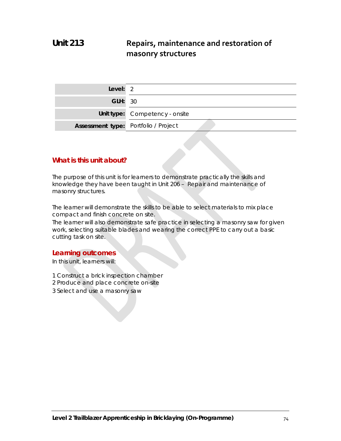# **Unit 213 Repairs, maintenance and restoration of masonry structures**

| Level: $2$                                  |                                |
|---------------------------------------------|--------------------------------|
| <b>GLH: 30</b>                              |                                |
|                                             | Unit type: Competency - onsite |
| <b>Assessment type:</b> Portfolio / Project |                                |

# **What is this unit about?**

The purpose of this unit is for learners to demonstrate practically the skills and knowledge they have been taught in Unit 206 – Repair and maintenance of masonry structures.

The learner will demonstrate the skills to be able to select materials to mix place compact and finish concrete on site.

The learner will also demonstrate safe practice in selecting a masonry saw for given work, selecting suitable blades and wearing the correct PPE to carry out a basic cutting task on site.

#### **Learning outcomes**

In this unit, learners will:

- 1 Construct a brick inspection chamber
- 2 Produce and place concrete on-site
- 3 Select and use a masonry saw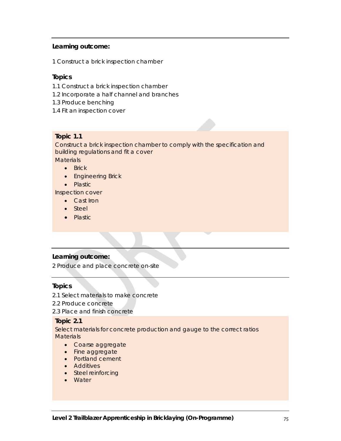## **Learning outcome:**

1 Construct a brick inspection chamber

# **Topics**

- 1.1 Construct a brick inspection chamber
- 1.2 Incorporate a half channel and branches
- 1.3 Produce benching
- 1.4 Fit an inspection cover

## **Topic 1.1**

Construct a brick inspection chamber to comply with the specification and building regulations and fit a cover

**Materials** 

- Brick
- **•** Engineering Brick
- Plastic

Inspection cover

- Cast Iron
- Steel
- Plastic

## **Learning outcome:**

2 Produce and place concrete on-site

## **Topics**

- 2.1 Select materials to make concrete
- 2.2 Produce concrete
- 2.3 Place and finish concrete

## **Topic 2.1**

Select materials for concrete production and gauge to the correct ratios **Materials** 

- Coarse aggregate
- Fine aggregate
- Portland cement
- Additives
- Steel reinforcing
- Water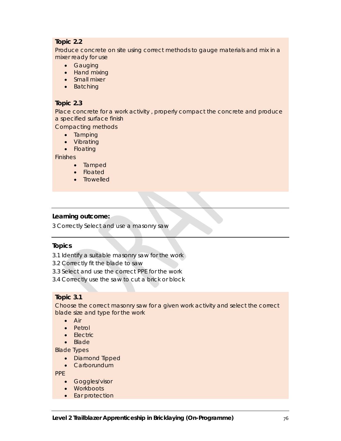# **Topic 2.2**

Produce concrete on site using correct methods to gauge materials and mix in a mixer ready for use

- **•** Gauging
- Hand mixing
- Small mixer
- Batching

## **Topic 2.3**

Place concrete for a work activity , properly compact the concrete and produce a specified surface finish

Compacting methods

- Tamping
- Vibrating
- Floating

Finishes

- Tamped
- Floated
- Trowelled

## **Learning outcome:**

3 Correctly Select and use a masonry saw

## **Topics**

3.1 Identify a suitable masonry saw for the work

- 3.2 Correctly fit the blade to saw
- 3.3 Select and use the correct PPE for the work
- 3.4 Correctly use the saw to cut a brick or block

# **Topic 3.1**

Choose the correct masonry saw for a given work activity and select the correct blade size and type for the work

- Air
- Petrol
- $\bullet$  Flectric
- Blade

Blade Types

- Diamond Tipped
- Carborundum

PPE

- **•** Goggles/visor
- Workboots
- Ear protection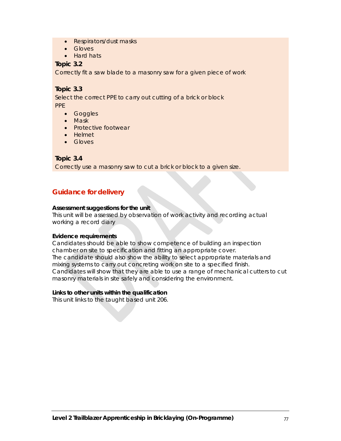- Respirators/dust masks
- Gloves
- Hard hats

## **Topic 3.2**

Correctly fit a saw blade to a masonry saw for a given piece of work

## **Topic 3.3**

Select the correct PPE to carry out cutting of a brick or block PPE

- Goggles
- Mask
- Protective footwear
- Helmet
- Gloves

## **Topic 3.4**

Correctly use a masonry saw to cut a brick or block to a given size.

# **Guidance for delivery**

#### **Assessment suggestions for the unit**

This unit will be assessed by observation of work activity and recording actual working a record diary

#### **Evidence requirements**

Candidates should be able to show competence of building an inspection chamber on site to specification and fitting an appropriate cover. The candidate should also show the ability to select appropriate materials and mixing systems to carry out concreting work on site to a specified finish. Candidates will show that they are able to use a range of mechanical cutters to cut masonry materials in site safely and considering the environment.

#### **Links to other units within the qualification**

This unit links to the taught based unit 206.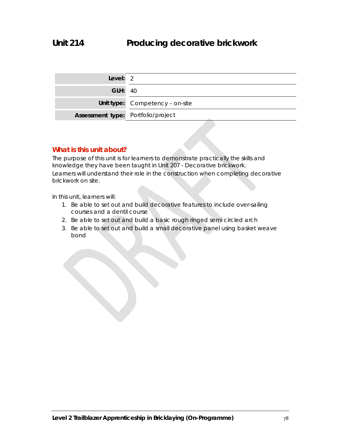| Level: 2                           |                                 |
|------------------------------------|---------------------------------|
| <b>GLH: 40</b>                     |                                 |
|                                    | Unit type: Competency - on-site |
| Assessment type: Portfolio/project |                                 |

# **What is this unit about?**

The purpose of this unit is for learners to demonstrate practically the skills and knowledge they have been taught in Unit 207 - Decorative brickwork. Learners will understand their role in the construction when completing decorative brickwork on site.

In this unit, learners will:

- 1. Be able to set out and build decorative features to include over-sailing courses and a dentil course
- 2. Be able to set out and build a basic rough ringed semi circled arch
- 3. Be able to set out and build a small decorative panel using basket weave bond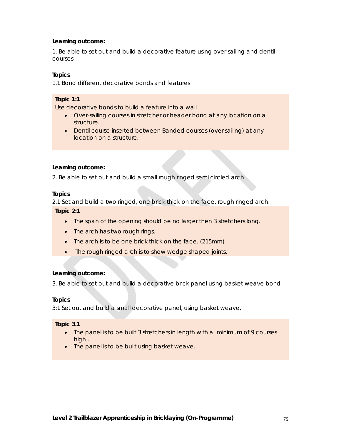### **Learning outcome:**

1. Be able to set out and build a decorative feature using over-sailing and dentil courses.

#### **Topics**

1.1 Bond different decorative bonds and features

#### **Topic 1:1**

Use decorative bonds to build a feature into a wall

- Over-sailing courses in stretcher or header bond at any location on a structure.
- Dentil course inserted between Banded courses (over sailing) at any location on a structure.

#### **Learning outcome:**

2. Be able to set out and build a small rough ringed semi circled arch

#### **Topics**

2.1 Set and build a two ringed, one brick thick on the face, rough ringed arch.

**Topic 2:1** 

- The span of the opening should be no larger then 3 stretchers long.
- The arch has two rough rings.
- The arch is to be one brick thick on the face. (215mm)
- The rough ringed arch is to show wedge shaped joints.

## **Learning outcome:**

3. Be able to set out and build a decorative brick panel using basket weave bond

## **Topics**

3:1 Set out and build a small decorative panel, using basket weave.

#### **Topic 3.1**

- The panel is to be built 3 stretchers in length with a minimum of 9 courses high .
- The panel is to be built using basket weave.